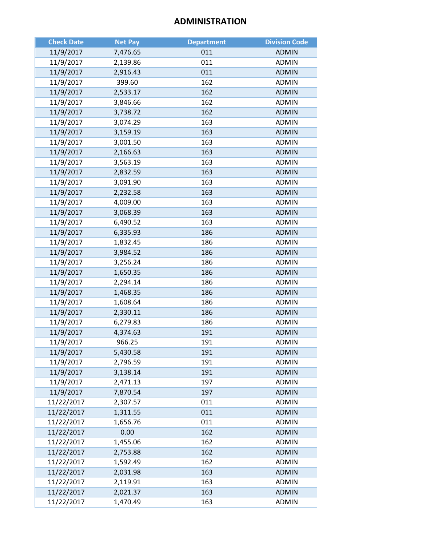# **ADMINISTRATION**

| <b>Check Date</b> | <b>Net Pay</b> | <b>Department</b> | <b>Division Code</b> |
|-------------------|----------------|-------------------|----------------------|
| 11/9/2017         | 7,476.65       | 011               | <b>ADMIN</b>         |
| 11/9/2017         | 2,139.86       | 011               | <b>ADMIN</b>         |
| 11/9/2017         | 2,916.43       | 011               | <b>ADMIN</b>         |
| 11/9/2017         | 399.60         | 162               | <b>ADMIN</b>         |
| 11/9/2017         | 2,533.17       | 162               | <b>ADMIN</b>         |
| 11/9/2017         | 3,846.66       | 162               | <b>ADMIN</b>         |
| 11/9/2017         | 3,738.72       | 162               | <b>ADMIN</b>         |
| 11/9/2017         | 3,074.29       | 163               | <b>ADMIN</b>         |
| 11/9/2017         | 3,159.19       | 163               | <b>ADMIN</b>         |
| 11/9/2017         | 3,001.50       | 163               | <b>ADMIN</b>         |
| 11/9/2017         | 2,166.63       | 163               | <b>ADMIN</b>         |
| 11/9/2017         | 3,563.19       | 163               | <b>ADMIN</b>         |
| 11/9/2017         | 2,832.59       | 163               | <b>ADMIN</b>         |
| 11/9/2017         | 3,091.90       | 163               | <b>ADMIN</b>         |
| 11/9/2017         | 2,232.58       | 163               | <b>ADMIN</b>         |
| 11/9/2017         | 4,009.00       | 163               | <b>ADMIN</b>         |
| 11/9/2017         | 3,068.39       | 163               | <b>ADMIN</b>         |
| 11/9/2017         | 6,490.52       | 163               | <b>ADMIN</b>         |
| 11/9/2017         | 6,335.93       | 186               | <b>ADMIN</b>         |
| 11/9/2017         | 1,832.45       | 186               | <b>ADMIN</b>         |
| 11/9/2017         | 3,984.52       | 186               | <b>ADMIN</b>         |
| 11/9/2017         | 3,256.24       | 186               | <b>ADMIN</b>         |
| 11/9/2017         | 1,650.35       | 186               | <b>ADMIN</b>         |
| 11/9/2017         | 2,294.14       | 186               | <b>ADMIN</b>         |
| 11/9/2017         | 1,468.35       | 186               | <b>ADMIN</b>         |
| 11/9/2017         | 1,608.64       | 186               | <b>ADMIN</b>         |
| 11/9/2017         | 2,330.11       | 186               | <b>ADMIN</b>         |
| 11/9/2017         | 6,279.83       | 186               | <b>ADMIN</b>         |
| 11/9/2017         | 4,374.63       | 191               | <b>ADMIN</b>         |
| 11/9/2017         | 966.25         | 191               | <b>ADMIN</b>         |
| 11/9/2017         | 5,430.58       | 191               | <b>ADMIN</b>         |
| 11/9/2017         | 2,796.59       | 191               | <b>ADMIN</b>         |
| 11/9/2017         | 3,138.14       | 191               | <b>ADMIN</b>         |
| 11/9/2017         | 2,471.13       | 197               | <b>ADMIN</b>         |
| 11/9/2017         | 7,870.54       | 197               | <b>ADMIN</b>         |
| 11/22/2017        | 2,307.57       | 011               | <b>ADMIN</b>         |
| 11/22/2017        | 1,311.55       | 011               | <b>ADMIN</b>         |
| 11/22/2017        | 1,656.76       | 011               | <b>ADMIN</b>         |
| 11/22/2017        | 0.00           | 162               | <b>ADMIN</b>         |
| 11/22/2017        | 1,455.06       | 162               | <b>ADMIN</b>         |
| 11/22/2017        | 2,753.88       | 162               | <b>ADMIN</b>         |
| 11/22/2017        | 1,592.49       | 162               | <b>ADMIN</b>         |
| 11/22/2017        | 2,031.98       | 163               | <b>ADMIN</b>         |
| 11/22/2017        | 2,119.91       | 163               | <b>ADMIN</b>         |
| 11/22/2017        | 2,021.37       | 163               | <b>ADMIN</b>         |
| 11/22/2017        | 1,470.49       | 163               | <b>ADMIN</b>         |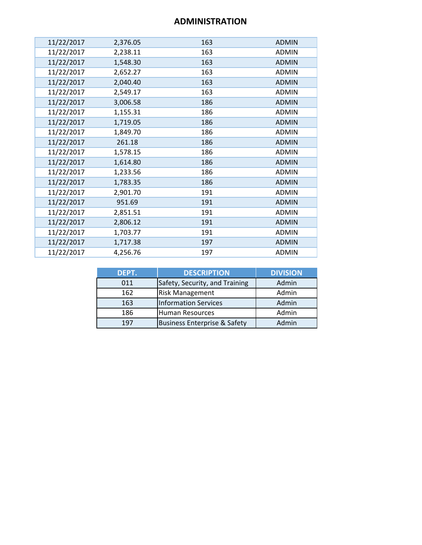# **ADMINISTRATION**

| 11/22/2017 | 2,376.05 | 163 | <b>ADMIN</b> |
|------------|----------|-----|--------------|
| 11/22/2017 | 2,238.11 | 163 | <b>ADMIN</b> |
| 11/22/2017 | 1,548.30 | 163 | <b>ADMIN</b> |
| 11/22/2017 | 2,652.27 | 163 | <b>ADMIN</b> |
| 11/22/2017 | 2,040.40 | 163 | <b>ADMIN</b> |
| 11/22/2017 | 2,549.17 | 163 | <b>ADMIN</b> |
| 11/22/2017 | 3,006.58 | 186 | <b>ADMIN</b> |
| 11/22/2017 | 1,155.31 | 186 | <b>ADMIN</b> |
| 11/22/2017 | 1,719.05 | 186 | <b>ADMIN</b> |
| 11/22/2017 | 1,849.70 | 186 | <b>ADMIN</b> |
| 11/22/2017 | 261.18   | 186 | <b>ADMIN</b> |
| 11/22/2017 | 1,578.15 | 186 | <b>ADMIN</b> |
| 11/22/2017 | 1,614.80 | 186 | <b>ADMIN</b> |
| 11/22/2017 | 1,233.56 | 186 | <b>ADMIN</b> |
| 11/22/2017 | 1,783.35 | 186 | <b>ADMIN</b> |
| 11/22/2017 | 2,901.70 | 191 | <b>ADMIN</b> |
| 11/22/2017 | 951.69   | 191 | <b>ADMIN</b> |
| 11/22/2017 | 2,851.51 | 191 | <b>ADMIN</b> |
| 11/22/2017 | 2,806.12 | 191 | <b>ADMIN</b> |
| 11/22/2017 | 1,703.77 | 191 | <b>ADMIN</b> |
| 11/22/2017 | 1,717.38 | 197 | <b>ADMIN</b> |
| 11/22/2017 | 4,256.76 | 197 | <b>ADMIN</b> |

| DEPT. | <b>DESCRIPTION</b>                      | <b>DIVISION</b> |
|-------|-----------------------------------------|-----------------|
| 011   | Safety, Security, and Training          | Admin           |
| 162   | <b>Risk Management</b>                  | Admin           |
| 163   | <b>Information Services</b>             | Admin           |
| 186   | <b>Human Resources</b>                  | Admin           |
| 197   | <b>Business Enterprise &amp; Safety</b> | Admin           |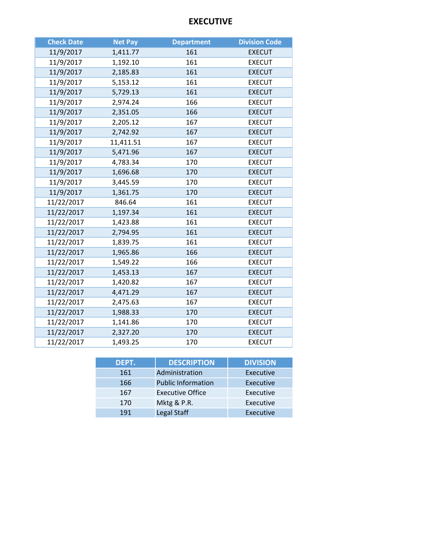# **EXECUTIVE**

| <b>Check Date</b> | <b>Net Pay</b> | <b>Department</b> | <b>Division Code</b> |
|-------------------|----------------|-------------------|----------------------|
| 11/9/2017         | 1,411.77       | 161               | <b>EXECUT</b>        |
| 11/9/2017         | 1,192.10       | 161               | <b>EXECUT</b>        |
| 11/9/2017         | 2,185.83       | 161               | <b>EXECUT</b>        |
| 11/9/2017         | 5,153.12       | 161               | <b>EXECUT</b>        |
| 11/9/2017         | 5,729.13       | 161               | <b>EXECUT</b>        |
| 11/9/2017         | 2,974.24       | 166               | <b>EXECUT</b>        |
| 11/9/2017         | 2,351.05       | 166               | <b>EXECUT</b>        |
| 11/9/2017         | 2,205.12       | 167               | <b>EXECUT</b>        |
| 11/9/2017         | 2,742.92       | 167               | <b>EXECUT</b>        |
| 11/9/2017         | 11,411.51      | 167               | <b>EXECUT</b>        |
| 11/9/2017         | 5,471.96       | 167               | <b>EXECUT</b>        |
| 11/9/2017         | 4,783.34       | 170               | <b>EXECUT</b>        |
| 11/9/2017         | 1,696.68       | 170               | <b>EXECUT</b>        |
| 11/9/2017         | 3,445.59       | 170               | <b>EXECUT</b>        |
| 11/9/2017         | 1,361.75       | 170               | <b>EXECUT</b>        |
| 11/22/2017        | 846.64         | 161               | <b>EXECUT</b>        |
| 11/22/2017        | 1,197.34       | 161               | <b>EXECUT</b>        |
| 11/22/2017        | 1,423.88       | 161               | <b>EXECUT</b>        |
| 11/22/2017        | 2,794.95       | 161               | <b>EXECUT</b>        |
| 11/22/2017        | 1,839.75       | 161               | <b>EXECUT</b>        |
| 11/22/2017        | 1,965.86       | 166               | <b>EXECUT</b>        |
| 11/22/2017        | 1,549.22       | 166               | <b>EXECUT</b>        |
| 11/22/2017        | 1,453.13       | 167               | <b>EXECUT</b>        |
| 11/22/2017        | 1,420.82       | 167               | <b>EXECUT</b>        |
| 11/22/2017        | 4,471.29       | 167               | <b>EXECUT</b>        |
| 11/22/2017        | 2,475.63       | 167               | <b>EXECUT</b>        |
| 11/22/2017        | 1,988.33       | 170               | <b>EXECUT</b>        |
| 11/22/2017        | 1,141.86       | 170               | <b>EXECUT</b>        |
| 11/22/2017        | 2,327.20       | 170               | <b>EXECUT</b>        |
| 11/22/2017        | 1,493.25       | 170               | <b>EXECUT</b>        |

| DEPT. | <b>DESCRIPTION</b>        | <b>DIVISION</b> |
|-------|---------------------------|-----------------|
| 161   | Administration            | Executive       |
| 166   | <b>Public Information</b> | Executive       |
| 167   | <b>Executive Office</b>   | Executive       |
| 170   | Mktg & P.R.               | Executive       |
| 191   | Legal Staff               | Executive       |
|       |                           |                 |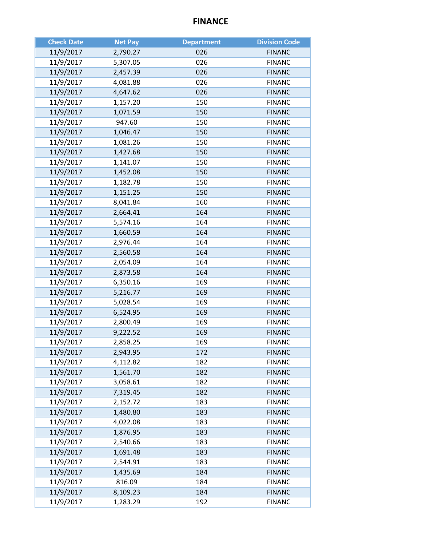# **FINANCE**

| <b>Check Date</b> | <b>Net Pay</b> | <b>Department</b> | <b>Division Code</b> |
|-------------------|----------------|-------------------|----------------------|
| 11/9/2017         | 2,790.27       | 026               | <b>FINANC</b>        |
| 11/9/2017         | 5,307.05       | 026               | <b>FINANC</b>        |
| 11/9/2017         | 2,457.39       | 026               | <b>FINANC</b>        |
| 11/9/2017         | 4,081.88       | 026               | <b>FINANC</b>        |
| 11/9/2017         | 4,647.62       | 026               | <b>FINANC</b>        |
| 11/9/2017         | 1,157.20       | 150               | <b>FINANC</b>        |
| 11/9/2017         | 1,071.59       | 150               | <b>FINANC</b>        |
| 11/9/2017         | 947.60         | 150               | <b>FINANC</b>        |
| 11/9/2017         | 1,046.47       | 150               | <b>FINANC</b>        |
| 11/9/2017         | 1,081.26       | 150               | <b>FINANC</b>        |
| 11/9/2017         | 1,427.68       | 150               | <b>FINANC</b>        |
| 11/9/2017         | 1,141.07       | 150               | <b>FINANC</b>        |
| 11/9/2017         | 1,452.08       | 150               | <b>FINANC</b>        |
| 11/9/2017         | 1,182.78       | 150               | <b>FINANC</b>        |
| 11/9/2017         | 1,151.25       | 150               | <b>FINANC</b>        |
| 11/9/2017         | 8,041.84       | 160               | <b>FINANC</b>        |
| 11/9/2017         | 2,664.41       | 164               | <b>FINANC</b>        |
| 11/9/2017         | 5,574.16       | 164               | <b>FINANC</b>        |
| 11/9/2017         | 1,660.59       | 164               | <b>FINANC</b>        |
| 11/9/2017         | 2,976.44       | 164               | <b>FINANC</b>        |
| 11/9/2017         | 2,560.58       | 164               | <b>FINANC</b>        |
| 11/9/2017         | 2,054.09       | 164               | <b>FINANC</b>        |
| 11/9/2017         | 2,873.58       | 164               | <b>FINANC</b>        |
| 11/9/2017         | 6,350.16       | 169               | <b>FINANC</b>        |
| 11/9/2017         | 5,216.77       | 169               | <b>FINANC</b>        |
| 11/9/2017         | 5,028.54       | 169               | <b>FINANC</b>        |
| 11/9/2017         | 6,524.95       | 169               | <b>FINANC</b>        |
| 11/9/2017         | 2,800.49       | 169               | <b>FINANC</b>        |
| 11/9/2017         | 9,222.52       | 169               | <b>FINANC</b>        |
| 11/9/2017         | 2,858.25       | 169               | <b>FINANC</b>        |
| 11/9/2017         | 2,943.95       | 172               | <b>FINANC</b>        |
| 11/9/2017         | 4,112.82       | 182               | <b>FINANC</b>        |
| 11/9/2017         | 1,561.70       | 182               | <b>FINANC</b>        |
| 11/9/2017         | 3,058.61       | 182               | <b>FINANC</b>        |
| 11/9/2017         | 7,319.45       | 182               | <b>FINANC</b>        |
| 11/9/2017         | 2,152.72       | 183               | <b>FINANC</b>        |
| 11/9/2017         | 1,480.80       | 183               | <b>FINANC</b>        |
| 11/9/2017         | 4,022.08       | 183               | <b>FINANC</b>        |
| 11/9/2017         | 1,876.95       | 183               | <b>FINANC</b>        |
| 11/9/2017         | 2,540.66       | 183               | <b>FINANC</b>        |
| 11/9/2017         | 1,691.48       | 183               | <b>FINANC</b>        |
| 11/9/2017         | 2,544.91       | 183               | <b>FINANC</b>        |
| 11/9/2017         | 1,435.69       | 184               | <b>FINANC</b>        |
| 11/9/2017         | 816.09         | 184               | <b>FINANC</b>        |
| 11/9/2017         | 8,109.23       | 184               | <b>FINANC</b>        |
| 11/9/2017         | 1,283.29       | 192               | <b>FINANC</b>        |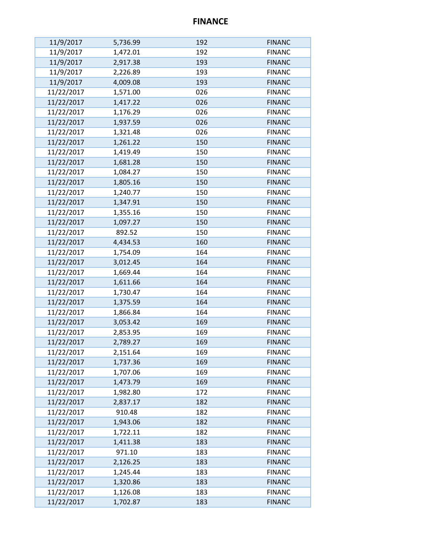# **FINANCE**

| 11/9/2017  | 5,736.99 | 192 | <b>FINANC</b> |
|------------|----------|-----|---------------|
| 11/9/2017  | 1,472.01 | 192 | <b>FINANC</b> |
| 11/9/2017  | 2,917.38 | 193 | <b>FINANC</b> |
| 11/9/2017  | 2,226.89 | 193 | <b>FINANC</b> |
| 11/9/2017  | 4,009.08 | 193 | <b>FINANC</b> |
| 11/22/2017 | 1,571.00 | 026 | <b>FINANC</b> |
| 11/22/2017 | 1,417.22 | 026 | <b>FINANC</b> |
| 11/22/2017 | 1,176.29 | 026 | <b>FINANC</b> |
| 11/22/2017 | 1,937.59 | 026 | <b>FINANC</b> |
| 11/22/2017 | 1,321.48 | 026 | <b>FINANC</b> |
| 11/22/2017 | 1,261.22 | 150 | <b>FINANC</b> |
| 11/22/2017 | 1,419.49 | 150 | <b>FINANC</b> |
| 11/22/2017 | 1,681.28 | 150 | <b>FINANC</b> |
| 11/22/2017 | 1,084.27 | 150 | <b>FINANC</b> |
| 11/22/2017 | 1,805.16 | 150 | <b>FINANC</b> |
| 11/22/2017 | 1,240.77 | 150 | <b>FINANC</b> |
| 11/22/2017 | 1,347.91 | 150 | <b>FINANC</b> |
| 11/22/2017 | 1,355.16 | 150 | <b>FINANC</b> |
| 11/22/2017 | 1,097.27 | 150 | <b>FINANC</b> |
| 11/22/2017 | 892.52   | 150 | <b>FINANC</b> |
| 11/22/2017 | 4,434.53 | 160 | <b>FINANC</b> |
| 11/22/2017 | 1,754.09 | 164 | <b>FINANC</b> |
| 11/22/2017 | 3,012.45 | 164 | <b>FINANC</b> |
| 11/22/2017 | 1,669.44 | 164 | <b>FINANC</b> |
| 11/22/2017 | 1,611.66 | 164 | <b>FINANC</b> |
| 11/22/2017 | 1,730.47 | 164 | <b>FINANC</b> |
| 11/22/2017 | 1,375.59 | 164 | <b>FINANC</b> |
| 11/22/2017 | 1,866.84 | 164 | <b>FINANC</b> |
| 11/22/2017 | 3,053.42 | 169 | <b>FINANC</b> |
| 11/22/2017 | 2,853.95 | 169 | <b>FINANC</b> |
| 11/22/2017 | 2,789.27 | 169 | <b>FINANC</b> |
| 11/22/2017 | 2,151.64 | 169 | <b>FINANC</b> |
| 11/22/2017 | 1,737.36 | 169 | <b>FINANC</b> |
| 11/22/2017 | 1,707.06 | 169 | <b>FINANC</b> |
| 11/22/2017 | 1,473.79 | 169 | <b>FINANC</b> |
| 11/22/2017 | 1,982.80 | 172 | <b>FINANC</b> |
| 11/22/2017 | 2,837.17 | 182 | <b>FINANC</b> |
| 11/22/2017 | 910.48   | 182 | <b>FINANC</b> |
| 11/22/2017 | 1,943.06 | 182 | <b>FINANC</b> |
| 11/22/2017 | 1,722.11 | 182 | <b>FINANC</b> |
| 11/22/2017 | 1,411.38 | 183 | <b>FINANC</b> |
| 11/22/2017 | 971.10   | 183 | <b>FINANC</b> |
| 11/22/2017 | 2,126.25 | 183 | <b>FINANC</b> |
| 11/22/2017 | 1,245.44 | 183 | <b>FINANC</b> |
| 11/22/2017 | 1,320.86 | 183 | <b>FINANC</b> |
| 11/22/2017 | 1,126.08 | 183 | <b>FINANC</b> |
| 11/22/2017 | 1,702.87 | 183 | <b>FINANC</b> |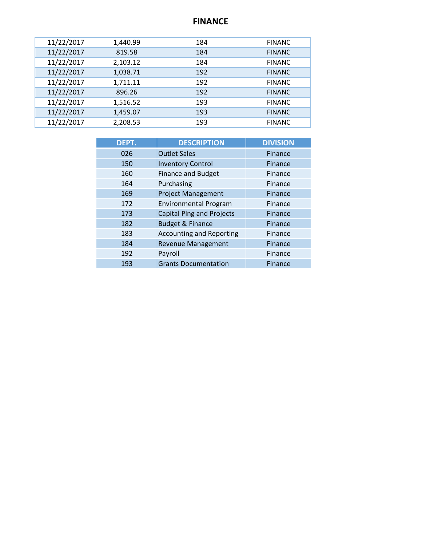# **FINANCE**

| 11/22/2017 | 1,440.99 | 184 | <b>FINANC</b> |
|------------|----------|-----|---------------|
| 11/22/2017 | 819.58   | 184 | <b>FINANC</b> |
| 11/22/2017 | 2,103.12 | 184 | <b>FINANC</b> |
| 11/22/2017 | 1,038.71 | 192 | <b>FINANC</b> |
| 11/22/2017 | 1,711.11 | 192 | <b>FINANC</b> |
| 11/22/2017 | 896.26   | 192 | <b>FINANC</b> |
| 11/22/2017 | 1,516.52 | 193 | <b>FINANC</b> |
| 11/22/2017 | 1,459.07 | 193 | <b>FINANC</b> |
| 11/22/2017 | 2,208.53 | 193 | <b>FINANC</b> |
|            |          |     |               |

| DEPT. | <b>DESCRIPTION</b>               | <b>DIVISION</b> |
|-------|----------------------------------|-----------------|
| 026   | <b>Outlet Sales</b>              | Finance         |
| 150   | <b>Inventory Control</b>         | Finance         |
| 160   | <b>Finance and Budget</b>        | Finance         |
| 164   | Purchasing                       | Finance         |
| 169   | <b>Project Management</b>        | Finance         |
| 172   | <b>Environmental Program</b>     | Finance         |
| 173   | <b>Capital Plng and Projects</b> | Finance         |
| 182   | <b>Budget &amp; Finance</b>      | Finance         |
| 183   | <b>Accounting and Reporting</b>  | Finance         |
| 184   | <b>Revenue Management</b>        | Finance         |
| 192   | Payroll                          | Finance         |
| 193   | <b>Grants Documentation</b>      | Finance         |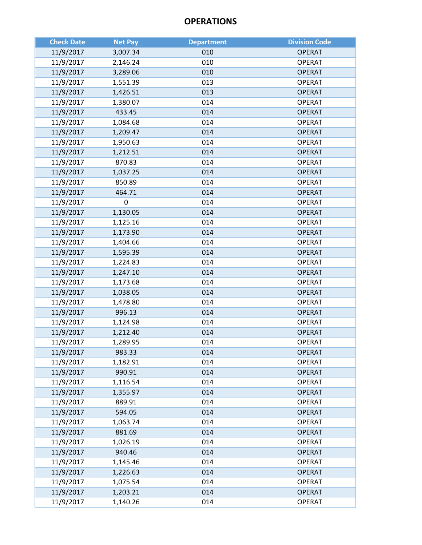| <b>Check Date</b> | <b>Net Pay</b> | <b>Department</b> | <b>Division Code</b> |
|-------------------|----------------|-------------------|----------------------|
| 11/9/2017         | 3,007.34       | 010               | <b>OPERAT</b>        |
| 11/9/2017         | 2,146.24       | 010               | <b>OPERAT</b>        |
| 11/9/2017         | 3,289.06       | 010               | <b>OPERAT</b>        |
| 11/9/2017         | 1,551.39       | 013               | <b>OPERAT</b>        |
| 11/9/2017         | 1,426.51       | 013               | <b>OPERAT</b>        |
| 11/9/2017         | 1,380.07       | 014               | <b>OPERAT</b>        |
| 11/9/2017         | 433.45         | 014               | <b>OPERAT</b>        |
| 11/9/2017         | 1,084.68       | 014               | <b>OPERAT</b>        |
| 11/9/2017         | 1,209.47       | 014               | <b>OPERAT</b>        |
| 11/9/2017         | 1,950.63       | 014               | <b>OPERAT</b>        |
| 11/9/2017         | 1,212.51       | 014               | <b>OPERAT</b>        |
| 11/9/2017         | 870.83         | 014               | <b>OPERAT</b>        |
| 11/9/2017         | 1,037.25       | 014               | <b>OPERAT</b>        |
| 11/9/2017         | 850.89         | 014               | <b>OPERAT</b>        |
| 11/9/2017         | 464.71         | 014               | <b>OPERAT</b>        |
| 11/9/2017         | 0              | 014               | <b>OPERAT</b>        |
| 11/9/2017         | 1,130.05       | 014               | <b>OPERAT</b>        |
| 11/9/2017         | 1,125.16       | 014               | <b>OPERAT</b>        |
| 11/9/2017         | 1,173.90       | 014               | <b>OPERAT</b>        |
| 11/9/2017         | 1,404.66       | 014               | <b>OPERAT</b>        |
| 11/9/2017         | 1,595.39       | 014               | <b>OPERAT</b>        |
| 11/9/2017         | 1,224.83       | 014               | <b>OPERAT</b>        |
| 11/9/2017         | 1,247.10       | 014               | <b>OPERAT</b>        |
| 11/9/2017         | 1,173.68       | 014               | <b>OPERAT</b>        |
| 11/9/2017         | 1,038.05       | 014               | <b>OPERAT</b>        |
| 11/9/2017         | 1,478.80       | 014               | <b>OPERAT</b>        |
| 11/9/2017         | 996.13         | 014               | <b>OPERAT</b>        |
| 11/9/2017         | 1,124.98       | 014               | <b>OPERAT</b>        |
| 11/9/2017         | 1,212.40       | 014               | <b>OPERAT</b>        |
| 11/9/2017         | 1,289.95       | 014               | <b>OPERAT</b>        |
| 11/9/2017         | 983.33         | 014               | <b>OPERAT</b>        |
| 11/9/2017         | 1,182.91       | 014               | <b>OPERAT</b>        |
| 11/9/2017         | 990.91         | 014               | <b>OPERAT</b>        |
| 11/9/2017         | 1,116.54       | 014               | <b>OPERAT</b>        |
| 11/9/2017         | 1,355.97       | 014               | <b>OPERAT</b>        |
| 11/9/2017         | 889.91         | 014               | <b>OPERAT</b>        |
| 11/9/2017         | 594.05         | 014               | <b>OPERAT</b>        |
| 11/9/2017         | 1,063.74       | 014               | <b>OPERAT</b>        |
| 11/9/2017         | 881.69         | 014               | <b>OPERAT</b>        |
| 11/9/2017         | 1,026.19       | 014               | <b>OPERAT</b>        |
| 11/9/2017         | 940.46         | 014               | <b>OPERAT</b>        |
| 11/9/2017         | 1,145.46       | 014               | <b>OPERAT</b>        |
| 11/9/2017         | 1,226.63       | 014               | <b>OPERAT</b>        |
| 11/9/2017         | 1,075.54       | 014               | <b>OPERAT</b>        |
| 11/9/2017         | 1,203.21       | 014               | <b>OPERAT</b>        |
| 11/9/2017         | 1,140.26       | 014               | <b>OPERAT</b>        |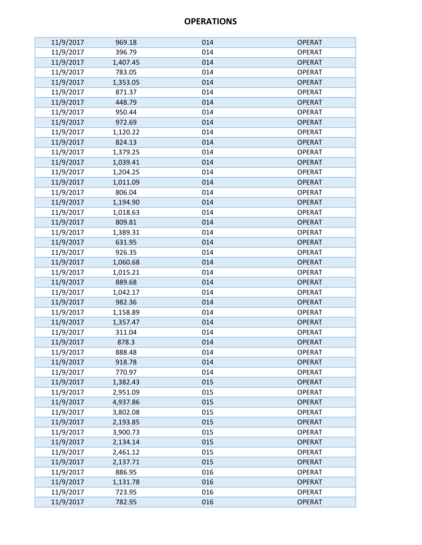| 11/9/2017 | 969.18   | 014 | <b>OPERAT</b> |
|-----------|----------|-----|---------------|
| 11/9/2017 | 396.79   | 014 | <b>OPERAT</b> |
| 11/9/2017 | 1,407.45 | 014 | <b>OPERAT</b> |
| 11/9/2017 | 783.05   | 014 | <b>OPERAT</b> |
| 11/9/2017 | 1,353.05 | 014 | <b>OPERAT</b> |
| 11/9/2017 | 871.37   | 014 | <b>OPERAT</b> |
| 11/9/2017 | 448.79   | 014 | <b>OPERAT</b> |
| 11/9/2017 | 950.44   | 014 | <b>OPERAT</b> |
| 11/9/2017 | 972.69   | 014 | <b>OPERAT</b> |
| 11/9/2017 | 1,120.22 | 014 | <b>OPERAT</b> |
| 11/9/2017 | 824.13   | 014 | <b>OPERAT</b> |
| 11/9/2017 | 1,379.25 | 014 | <b>OPERAT</b> |
| 11/9/2017 | 1,039.41 | 014 | <b>OPERAT</b> |
| 11/9/2017 | 1,204.25 | 014 | <b>OPERAT</b> |
| 11/9/2017 | 1,011.09 | 014 | <b>OPERAT</b> |
| 11/9/2017 | 806.04   | 014 | <b>OPERAT</b> |
| 11/9/2017 | 1,194.90 | 014 | <b>OPERAT</b> |
| 11/9/2017 | 1,018.63 | 014 | <b>OPERAT</b> |
| 11/9/2017 | 809.81   | 014 | <b>OPERAT</b> |
| 11/9/2017 | 1,389.31 | 014 | <b>OPERAT</b> |
| 11/9/2017 | 631.95   | 014 | <b>OPERAT</b> |
| 11/9/2017 | 926.35   | 014 | <b>OPERAT</b> |
| 11/9/2017 | 1,060.68 | 014 | <b>OPERAT</b> |
| 11/9/2017 | 1,015.21 | 014 | <b>OPERAT</b> |
| 11/9/2017 | 889.68   | 014 | <b>OPERAT</b> |
| 11/9/2017 | 1,042.17 | 014 | <b>OPERAT</b> |
| 11/9/2017 | 982.36   | 014 | <b>OPERAT</b> |
| 11/9/2017 | 1,158.89 | 014 | <b>OPERAT</b> |
| 11/9/2017 | 1,357.47 | 014 | <b>OPERAT</b> |
| 11/9/2017 | 311.04   | 014 | <b>OPERAT</b> |
| 11/9/2017 | 878.3    | 014 | <b>OPERAT</b> |
| 11/9/2017 | 888.48   | 014 | <b>OPERAT</b> |
| 11/9/2017 | 918.78   | 014 | <b>OPERAT</b> |
| 11/9/2017 | 770.97   | 014 | <b>OPERAT</b> |
| 11/9/2017 | 1,382.43 | 015 | <b>OPERAT</b> |
| 11/9/2017 | 2,951.09 | 015 | <b>OPERAT</b> |
| 11/9/2017 | 4,937.86 | 015 | <b>OPERAT</b> |
| 11/9/2017 | 3,802.08 | 015 | <b>OPERAT</b> |
| 11/9/2017 | 2,193.85 | 015 | <b>OPERAT</b> |
| 11/9/2017 | 3,900.73 | 015 | <b>OPERAT</b> |
| 11/9/2017 | 2,134.14 | 015 | <b>OPERAT</b> |
| 11/9/2017 | 2,461.12 | 015 | <b>OPERAT</b> |
| 11/9/2017 | 2,137.71 | 015 | <b>OPERAT</b> |
| 11/9/2017 | 886.95   | 016 | <b>OPERAT</b> |
| 11/9/2017 | 1,131.78 | 016 | <b>OPERAT</b> |
| 11/9/2017 | 723.95   | 016 | <b>OPERAT</b> |
| 11/9/2017 | 782.95   | 016 | <b>OPERAT</b> |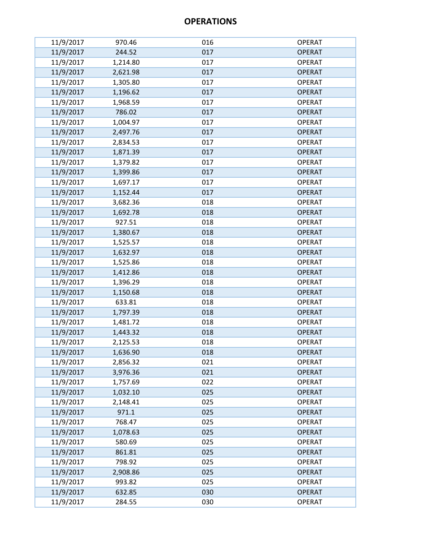| 11/9/2017 | 970.46   | 016 | <b>OPERAT</b> |
|-----------|----------|-----|---------------|
| 11/9/2017 | 244.52   | 017 | <b>OPERAT</b> |
| 11/9/2017 | 1,214.80 | 017 | <b>OPERAT</b> |
| 11/9/2017 | 2,621.98 | 017 | <b>OPERAT</b> |
| 11/9/2017 | 1,305.80 | 017 | <b>OPERAT</b> |
| 11/9/2017 | 1,196.62 | 017 | <b>OPERAT</b> |
| 11/9/2017 | 1,968.59 | 017 | <b>OPERAT</b> |
| 11/9/2017 | 786.02   | 017 | <b>OPERAT</b> |
| 11/9/2017 | 1,004.97 | 017 | <b>OPERAT</b> |
| 11/9/2017 | 2,497.76 | 017 | <b>OPERAT</b> |
| 11/9/2017 | 2,834.53 | 017 | <b>OPERAT</b> |
| 11/9/2017 | 1,871.39 | 017 | <b>OPERAT</b> |
| 11/9/2017 | 1,379.82 | 017 | <b>OPERAT</b> |
| 11/9/2017 | 1,399.86 | 017 | <b>OPERAT</b> |
| 11/9/2017 | 1,697.17 | 017 | <b>OPERAT</b> |
| 11/9/2017 | 1,152.44 | 017 | <b>OPERAT</b> |
| 11/9/2017 | 3,682.36 | 018 | <b>OPERAT</b> |
| 11/9/2017 | 1,692.78 | 018 | <b>OPERAT</b> |
| 11/9/2017 | 927.51   | 018 | <b>OPERAT</b> |
| 11/9/2017 | 1,380.67 | 018 | <b>OPERAT</b> |
| 11/9/2017 | 1,525.57 | 018 | <b>OPERAT</b> |
| 11/9/2017 | 1,632.97 | 018 | <b>OPERAT</b> |
| 11/9/2017 | 1,525.86 | 018 | <b>OPERAT</b> |
| 11/9/2017 | 1,412.86 | 018 | <b>OPERAT</b> |
| 11/9/2017 | 1,396.29 | 018 | <b>OPERAT</b> |
| 11/9/2017 | 1,150.68 | 018 | <b>OPERAT</b> |
| 11/9/2017 | 633.81   | 018 | <b>OPERAT</b> |
| 11/9/2017 | 1,797.39 | 018 | <b>OPERAT</b> |
| 11/9/2017 | 1,481.72 | 018 | <b>OPERAT</b> |
| 11/9/2017 | 1,443.32 | 018 | <b>OPERAT</b> |
| 11/9/2017 | 2,125.53 | 018 | <b>OPERAT</b> |
| 11/9/2017 | 1,636.90 | 018 | <b>OPERAT</b> |
| 11/9/2017 | 2,856.32 | 021 | <b>OPERAT</b> |
| 11/9/2017 | 3,976.36 | 021 | <b>OPERAT</b> |
| 11/9/2017 | 1,757.69 | 022 | <b>OPERAT</b> |
| 11/9/2017 | 1,032.10 | 025 | <b>OPERAT</b> |
| 11/9/2017 | 2,148.41 | 025 | <b>OPERAT</b> |
| 11/9/2017 | 971.1    | 025 | <b>OPERAT</b> |
| 11/9/2017 | 768.47   | 025 | <b>OPERAT</b> |
| 11/9/2017 | 1,078.63 | 025 | <b>OPERAT</b> |
| 11/9/2017 | 580.69   | 025 | <b>OPERAT</b> |
| 11/9/2017 | 861.81   | 025 | <b>OPERAT</b> |
| 11/9/2017 | 798.92   | 025 | <b>OPERAT</b> |
| 11/9/2017 | 2,908.86 | 025 | <b>OPERAT</b> |
| 11/9/2017 | 993.82   | 025 | <b>OPERAT</b> |
| 11/9/2017 | 632.85   | 030 | <b>OPERAT</b> |
| 11/9/2017 | 284.55   | 030 | <b>OPERAT</b> |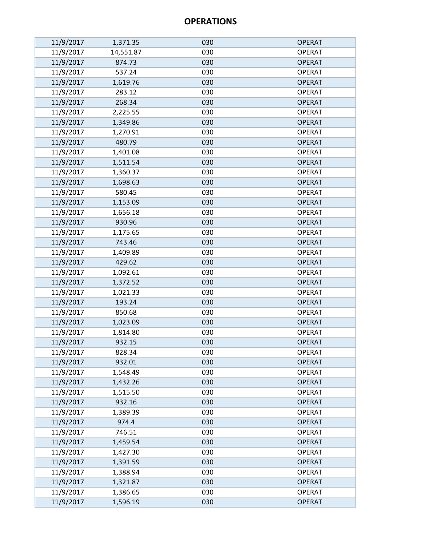| 11/9/2017 | 1,371.35  | 030 | <b>OPERAT</b> |
|-----------|-----------|-----|---------------|
| 11/9/2017 | 14,551.87 | 030 | <b>OPERAT</b> |
| 11/9/2017 | 874.73    | 030 | <b>OPERAT</b> |
| 11/9/2017 | 537.24    | 030 | <b>OPERAT</b> |
| 11/9/2017 | 1,619.76  | 030 | <b>OPERAT</b> |
| 11/9/2017 | 283.12    | 030 | <b>OPERAT</b> |
| 11/9/2017 | 268.34    | 030 | <b>OPERAT</b> |
| 11/9/2017 | 2,225.55  | 030 | <b>OPERAT</b> |
| 11/9/2017 | 1,349.86  | 030 | <b>OPERAT</b> |
| 11/9/2017 | 1,270.91  | 030 | <b>OPERAT</b> |
| 11/9/2017 | 480.79    | 030 | <b>OPERAT</b> |
| 11/9/2017 | 1,401.08  | 030 | <b>OPERAT</b> |
| 11/9/2017 | 1,511.54  | 030 | <b>OPERAT</b> |
| 11/9/2017 | 1,360.37  | 030 | <b>OPERAT</b> |
| 11/9/2017 | 1,698.63  | 030 | <b>OPERAT</b> |
| 11/9/2017 | 580.45    | 030 | <b>OPERAT</b> |
| 11/9/2017 | 1,153.09  | 030 | <b>OPERAT</b> |
| 11/9/2017 | 1,656.18  | 030 | <b>OPERAT</b> |
| 11/9/2017 | 930.96    | 030 | <b>OPERAT</b> |
| 11/9/2017 | 1,175.65  | 030 | <b>OPERAT</b> |
| 11/9/2017 | 743.46    | 030 | <b>OPERAT</b> |
| 11/9/2017 | 1,409.89  | 030 | <b>OPERAT</b> |
| 11/9/2017 | 429.62    | 030 | <b>OPERAT</b> |
| 11/9/2017 | 1,092.61  | 030 | <b>OPERAT</b> |
| 11/9/2017 | 1,372.52  | 030 | <b>OPERAT</b> |
| 11/9/2017 | 1,021.33  | 030 | <b>OPERAT</b> |
| 11/9/2017 | 193.24    | 030 | <b>OPERAT</b> |
| 11/9/2017 | 850.68    | 030 | <b>OPERAT</b> |
| 11/9/2017 | 1,023.09  | 030 | <b>OPERAT</b> |
| 11/9/2017 | 1,814.80  | 030 | <b>OPERAT</b> |
| 11/9/2017 | 932.15    | 030 | <b>OPERAT</b> |
| 11/9/2017 | 828.34    | 030 | <b>OPERAT</b> |
| 11/9/2017 | 932.01    | 030 | <b>OPERAT</b> |
| 11/9/2017 | 1,548.49  | 030 | <b>OPERAT</b> |
| 11/9/2017 | 1,432.26  | 030 | <b>OPERAT</b> |
| 11/9/2017 | 1,515.50  | 030 | <b>OPERAT</b> |
| 11/9/2017 | 932.16    | 030 | <b>OPERAT</b> |
| 11/9/2017 | 1,389.39  | 030 | <b>OPERAT</b> |
| 11/9/2017 | 974.4     | 030 | <b>OPERAT</b> |
| 11/9/2017 | 746.51    | 030 | <b>OPERAT</b> |
| 11/9/2017 | 1,459.54  | 030 | <b>OPERAT</b> |
| 11/9/2017 | 1,427.30  | 030 | <b>OPERAT</b> |
| 11/9/2017 | 1,391.59  | 030 | <b>OPERAT</b> |
| 11/9/2017 | 1,388.94  | 030 | <b>OPERAT</b> |
| 11/9/2017 | 1,321.87  | 030 | <b>OPERAT</b> |
| 11/9/2017 | 1,386.65  | 030 | <b>OPERAT</b> |
| 11/9/2017 | 1,596.19  | 030 | <b>OPERAT</b> |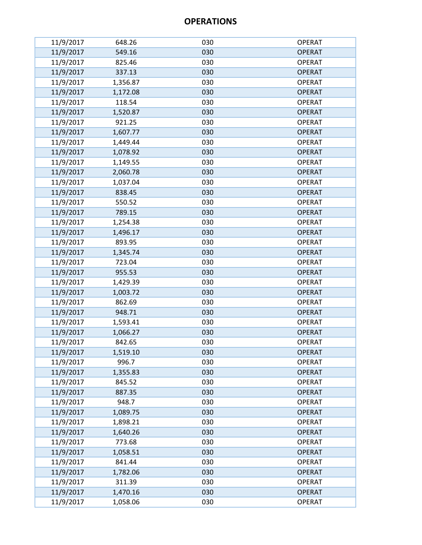| 11/9/2017 | 648.26   | 030 | <b>OPERAT</b> |
|-----------|----------|-----|---------------|
| 11/9/2017 | 549.16   | 030 | <b>OPERAT</b> |
| 11/9/2017 | 825.46   | 030 | <b>OPERAT</b> |
| 11/9/2017 | 337.13   | 030 | <b>OPERAT</b> |
| 11/9/2017 | 1,356.87 | 030 | <b>OPERAT</b> |
| 11/9/2017 | 1,172.08 | 030 | <b>OPERAT</b> |
| 11/9/2017 | 118.54   | 030 | <b>OPERAT</b> |
| 11/9/2017 | 1,520.87 | 030 | <b>OPERAT</b> |
| 11/9/2017 | 921.25   | 030 | <b>OPERAT</b> |
| 11/9/2017 | 1,607.77 | 030 | <b>OPERAT</b> |
| 11/9/2017 | 1,449.44 | 030 | <b>OPERAT</b> |
| 11/9/2017 | 1,078.92 | 030 | <b>OPERAT</b> |
| 11/9/2017 | 1,149.55 | 030 | <b>OPERAT</b> |
| 11/9/2017 | 2,060.78 | 030 | <b>OPERAT</b> |
| 11/9/2017 | 1,037.04 | 030 | <b>OPERAT</b> |
| 11/9/2017 | 838.45   | 030 | <b>OPERAT</b> |
| 11/9/2017 | 550.52   | 030 | <b>OPERAT</b> |
| 11/9/2017 | 789.15   | 030 | <b>OPERAT</b> |
| 11/9/2017 | 1,254.38 | 030 | <b>OPERAT</b> |
| 11/9/2017 | 1,496.17 | 030 | <b>OPERAT</b> |
| 11/9/2017 | 893.95   | 030 | <b>OPERAT</b> |
| 11/9/2017 | 1,345.74 | 030 | <b>OPERAT</b> |
| 11/9/2017 | 723.04   | 030 | <b>OPERAT</b> |
| 11/9/2017 | 955.53   | 030 | <b>OPERAT</b> |
| 11/9/2017 | 1,429.39 | 030 | <b>OPERAT</b> |
| 11/9/2017 | 1,003.72 | 030 | <b>OPERAT</b> |
| 11/9/2017 | 862.69   | 030 | <b>OPERAT</b> |
| 11/9/2017 | 948.71   | 030 | <b>OPERAT</b> |
| 11/9/2017 | 1,593.41 | 030 | <b>OPERAT</b> |
| 11/9/2017 | 1,066.27 | 030 | <b>OPERAT</b> |
| 11/9/2017 | 842.65   | 030 | <b>OPERAT</b> |
| 11/9/2017 | 1,519.10 | 030 | <b>OPERAT</b> |
| 11/9/2017 | 996.7    | 030 | <b>OPERAT</b> |
| 11/9/2017 | 1,355.83 | 030 | <b>OPERAT</b> |
| 11/9/2017 | 845.52   | 030 | <b>OPERAT</b> |
| 11/9/2017 | 887.35   | 030 | <b>OPERAT</b> |
| 11/9/2017 | 948.7    | 030 | <b>OPERAT</b> |
| 11/9/2017 | 1,089.75 | 030 | <b>OPERAT</b> |
| 11/9/2017 | 1,898.21 | 030 | <b>OPERAT</b> |
| 11/9/2017 | 1,640.26 | 030 | <b>OPERAT</b> |
| 11/9/2017 | 773.68   | 030 | <b>OPERAT</b> |
| 11/9/2017 | 1,058.51 | 030 | <b>OPERAT</b> |
| 11/9/2017 | 841.44   | 030 | <b>OPERAT</b> |
| 11/9/2017 | 1,782.06 | 030 | <b>OPERAT</b> |
| 11/9/2017 | 311.39   | 030 | <b>OPERAT</b> |
| 11/9/2017 | 1,470.16 | 030 | <b>OPERAT</b> |
| 11/9/2017 | 1,058.06 | 030 | <b>OPERAT</b> |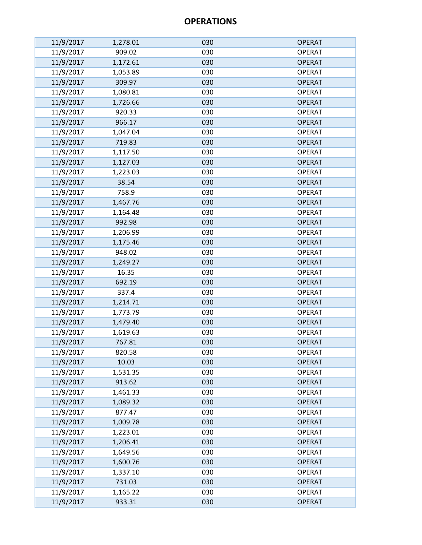| 11/9/2017 | 1,278.01 | 030 | <b>OPERAT</b> |
|-----------|----------|-----|---------------|
| 11/9/2017 | 909.02   | 030 | <b>OPERAT</b> |
| 11/9/2017 | 1,172.61 | 030 | <b>OPERAT</b> |
| 11/9/2017 | 1,053.89 | 030 | <b>OPERAT</b> |
| 11/9/2017 | 309.97   | 030 | <b>OPERAT</b> |
| 11/9/2017 | 1,080.81 | 030 | <b>OPERAT</b> |
| 11/9/2017 | 1,726.66 | 030 | <b>OPERAT</b> |
| 11/9/2017 | 920.33   | 030 | <b>OPERAT</b> |
| 11/9/2017 | 966.17   | 030 | <b>OPERAT</b> |
| 11/9/2017 | 1,047.04 | 030 | <b>OPERAT</b> |
| 11/9/2017 | 719.83   | 030 | <b>OPERAT</b> |
| 11/9/2017 | 1,117.50 | 030 | <b>OPERAT</b> |
| 11/9/2017 | 1,127.03 | 030 | <b>OPERAT</b> |
| 11/9/2017 | 1,223.03 | 030 | <b>OPERAT</b> |
| 11/9/2017 | 38.54    | 030 | <b>OPERAT</b> |
| 11/9/2017 | 758.9    | 030 | <b>OPERAT</b> |
| 11/9/2017 | 1,467.76 | 030 | <b>OPERAT</b> |
| 11/9/2017 | 1,164.48 | 030 | <b>OPERAT</b> |
| 11/9/2017 | 992.98   | 030 | <b>OPERAT</b> |
| 11/9/2017 | 1,206.99 | 030 | <b>OPERAT</b> |
| 11/9/2017 | 1,175.46 | 030 | <b>OPERAT</b> |
| 11/9/2017 | 948.02   | 030 | <b>OPERAT</b> |
| 11/9/2017 | 1,249.27 | 030 | <b>OPERAT</b> |
| 11/9/2017 | 16.35    | 030 | <b>OPERAT</b> |
| 11/9/2017 | 692.19   | 030 | <b>OPERAT</b> |
| 11/9/2017 | 337.4    | 030 | <b>OPERAT</b> |
| 11/9/2017 | 1,214.71 | 030 | <b>OPERAT</b> |
| 11/9/2017 | 1,773.79 | 030 | <b>OPERAT</b> |
| 11/9/2017 | 1,479.40 | 030 | <b>OPERAT</b> |
| 11/9/2017 | 1,619.63 | 030 | <b>OPERAT</b> |
| 11/9/2017 | 767.81   | 030 | <b>OPERAT</b> |
| 11/9/2017 | 820.58   | 030 | <b>OPERAT</b> |
| 11/9/2017 | 10.03    | 030 | <b>OPERAT</b> |
| 11/9/2017 | 1,531.35 | 030 | <b>OPERAT</b> |
| 11/9/2017 | 913.62   | 030 | <b>OPERAT</b> |
| 11/9/2017 | 1,461.33 | 030 | <b>OPERAT</b> |
| 11/9/2017 | 1,089.32 | 030 | <b>OPERAT</b> |
| 11/9/2017 | 877.47   | 030 | <b>OPERAT</b> |
| 11/9/2017 | 1,009.78 | 030 | <b>OPERAT</b> |
| 11/9/2017 | 1,223.01 | 030 | <b>OPERAT</b> |
| 11/9/2017 | 1,206.41 | 030 | <b>OPERAT</b> |
| 11/9/2017 | 1,649.56 | 030 | <b>OPERAT</b> |
| 11/9/2017 | 1,600.76 | 030 | <b>OPERAT</b> |
| 11/9/2017 | 1,337.10 | 030 | <b>OPERAT</b> |
| 11/9/2017 | 731.03   | 030 | <b>OPERAT</b> |
| 11/9/2017 | 1,165.22 | 030 | <b>OPERAT</b> |
| 11/9/2017 | 933.31   | 030 | <b>OPERAT</b> |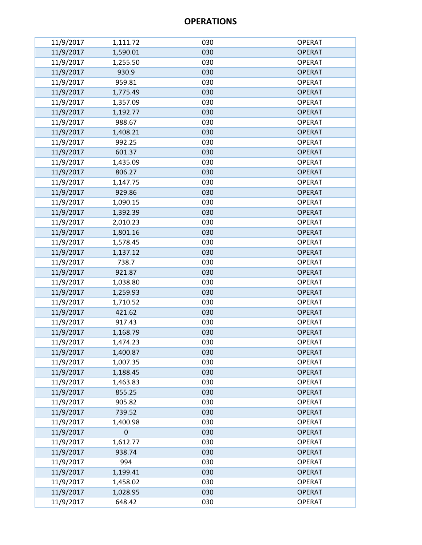| 11/9/2017 | 1,111.72    | 030 | <b>OPERAT</b> |
|-----------|-------------|-----|---------------|
| 11/9/2017 | 1,590.01    | 030 | <b>OPERAT</b> |
| 11/9/2017 | 1,255.50    | 030 | <b>OPERAT</b> |
| 11/9/2017 | 930.9       | 030 | <b>OPERAT</b> |
| 11/9/2017 | 959.81      | 030 | <b>OPERAT</b> |
| 11/9/2017 | 1,775.49    | 030 | <b>OPERAT</b> |
| 11/9/2017 | 1,357.09    | 030 | <b>OPERAT</b> |
| 11/9/2017 | 1,192.77    | 030 | <b>OPERAT</b> |
| 11/9/2017 | 988.67      | 030 | <b>OPERAT</b> |
| 11/9/2017 | 1,408.21    | 030 | <b>OPERAT</b> |
| 11/9/2017 | 992.25      | 030 | <b>OPERAT</b> |
| 11/9/2017 | 601.37      | 030 | <b>OPERAT</b> |
| 11/9/2017 | 1,435.09    | 030 | <b>OPERAT</b> |
| 11/9/2017 | 806.27      | 030 | <b>OPERAT</b> |
| 11/9/2017 | 1,147.75    | 030 | <b>OPERAT</b> |
| 11/9/2017 | 929.86      | 030 | <b>OPERAT</b> |
| 11/9/2017 | 1,090.15    | 030 | <b>OPERAT</b> |
| 11/9/2017 | 1,392.39    | 030 | <b>OPERAT</b> |
| 11/9/2017 | 2,010.23    | 030 | <b>OPERAT</b> |
| 11/9/2017 | 1,801.16    | 030 | <b>OPERAT</b> |
| 11/9/2017 | 1,578.45    | 030 | <b>OPERAT</b> |
| 11/9/2017 | 1,137.12    | 030 | <b>OPERAT</b> |
| 11/9/2017 | 738.7       | 030 | <b>OPERAT</b> |
| 11/9/2017 | 921.87      | 030 | <b>OPERAT</b> |
| 11/9/2017 | 1,038.80    | 030 | <b>OPERAT</b> |
| 11/9/2017 | 1,259.93    | 030 | <b>OPERAT</b> |
| 11/9/2017 | 1,710.52    | 030 | <b>OPERAT</b> |
| 11/9/2017 | 421.62      | 030 | <b>OPERAT</b> |
| 11/9/2017 | 917.43      | 030 | <b>OPERAT</b> |
| 11/9/2017 | 1,168.79    | 030 | <b>OPERAT</b> |
| 11/9/2017 | 1,474.23    | 030 | <b>OPERAT</b> |
| 11/9/2017 | 1,400.87    | 030 | <b>OPERAT</b> |
| 11/9/2017 | 1,007.35    | 030 | <b>OPERAT</b> |
| 11/9/2017 | 1,188.45    | 030 | <b>OPERAT</b> |
| 11/9/2017 | 1,463.83    | 030 | <b>OPERAT</b> |
| 11/9/2017 | 855.25      | 030 | <b>OPERAT</b> |
| 11/9/2017 | 905.82      | 030 | <b>OPERAT</b> |
| 11/9/2017 | 739.52      | 030 | <b>OPERAT</b> |
| 11/9/2017 | 1,400.98    | 030 | <b>OPERAT</b> |
| 11/9/2017 | $\mathbf 0$ | 030 | <b>OPERAT</b> |
| 11/9/2017 | 1,612.77    | 030 | <b>OPERAT</b> |
| 11/9/2017 | 938.74      | 030 | <b>OPERAT</b> |
| 11/9/2017 | 994         | 030 | <b>OPERAT</b> |
| 11/9/2017 | 1,199.41    | 030 | <b>OPERAT</b> |
| 11/9/2017 | 1,458.02    | 030 | <b>OPERAT</b> |
| 11/9/2017 | 1,028.95    | 030 | <b>OPERAT</b> |
| 11/9/2017 | 648.42      | 030 | <b>OPERAT</b> |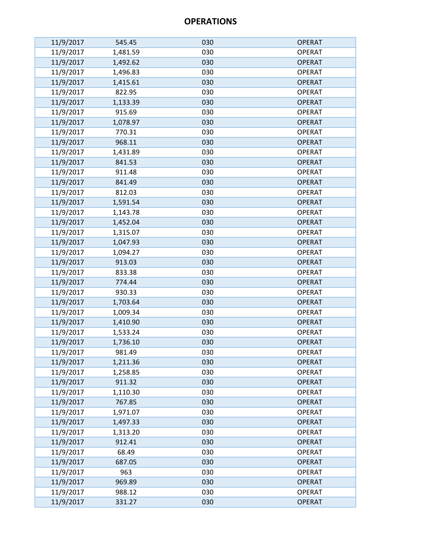| 11/9/2017 | 545.45   | 030 | <b>OPERAT</b> |
|-----------|----------|-----|---------------|
| 11/9/2017 | 1,481.59 | 030 | <b>OPERAT</b> |
| 11/9/2017 | 1,492.62 | 030 | <b>OPERAT</b> |
| 11/9/2017 | 1,496.83 | 030 | <b>OPERAT</b> |
| 11/9/2017 | 1,415.61 | 030 | <b>OPERAT</b> |
| 11/9/2017 | 822.95   | 030 | <b>OPERAT</b> |
| 11/9/2017 | 1,133.39 | 030 | <b>OPERAT</b> |
| 11/9/2017 | 915.69   | 030 | <b>OPERAT</b> |
| 11/9/2017 | 1,078.97 | 030 | <b>OPERAT</b> |
| 11/9/2017 | 770.31   | 030 | <b>OPERAT</b> |
| 11/9/2017 | 968.11   | 030 | <b>OPERAT</b> |
| 11/9/2017 | 1,431.89 | 030 | <b>OPERAT</b> |
| 11/9/2017 | 841.53   | 030 | <b>OPERAT</b> |
| 11/9/2017 | 911.48   | 030 | <b>OPERAT</b> |
| 11/9/2017 | 841.49   | 030 | <b>OPERAT</b> |
| 11/9/2017 | 812.03   | 030 | <b>OPERAT</b> |
| 11/9/2017 | 1,591.54 | 030 | <b>OPERAT</b> |
| 11/9/2017 | 1,143.78 | 030 | <b>OPERAT</b> |
| 11/9/2017 | 1,452.04 | 030 | <b>OPERAT</b> |
| 11/9/2017 | 1,315.07 | 030 | <b>OPERAT</b> |
| 11/9/2017 | 1,047.93 | 030 | <b>OPERAT</b> |
| 11/9/2017 | 1,094.27 | 030 | <b>OPERAT</b> |
| 11/9/2017 | 913.03   | 030 | <b>OPERAT</b> |
| 11/9/2017 | 833.38   | 030 | <b>OPERAT</b> |
| 11/9/2017 | 774.44   | 030 | <b>OPERAT</b> |
| 11/9/2017 | 930.33   | 030 | <b>OPERAT</b> |
| 11/9/2017 | 1,703.64 | 030 | <b>OPERAT</b> |
| 11/9/2017 | 1,009.34 | 030 | <b>OPERAT</b> |
| 11/9/2017 | 1,410.90 | 030 | <b>OPERAT</b> |
| 11/9/2017 | 1,533.24 | 030 | <b>OPERAT</b> |
| 11/9/2017 | 1,736.10 | 030 | <b>OPERAT</b> |
| 11/9/2017 | 981.49   | 030 | <b>OPERAT</b> |
| 11/9/2017 | 1,211.36 | 030 | <b>OPERAT</b> |
| 11/9/2017 | 1,258.85 | 030 | <b>OPERAT</b> |
| 11/9/2017 | 911.32   | 030 | <b>OPERAT</b> |
| 11/9/2017 | 1,110.30 | 030 | <b>OPERAT</b> |
| 11/9/2017 | 767.85   | 030 | <b>OPERAT</b> |
| 11/9/2017 | 1,971.07 | 030 | <b>OPERAT</b> |
| 11/9/2017 | 1,497.33 | 030 | <b>OPERAT</b> |
| 11/9/2017 | 1,313.20 | 030 | <b>OPERAT</b> |
| 11/9/2017 | 912.41   | 030 | <b>OPERAT</b> |
| 11/9/2017 | 68.49    | 030 | <b>OPERAT</b> |
| 11/9/2017 | 687.05   | 030 | <b>OPERAT</b> |
| 11/9/2017 | 963      | 030 | <b>OPERAT</b> |
| 11/9/2017 | 969.89   | 030 | <b>OPERAT</b> |
| 11/9/2017 | 988.12   | 030 | <b>OPERAT</b> |
| 11/9/2017 | 331.27   | 030 | <b>OPERAT</b> |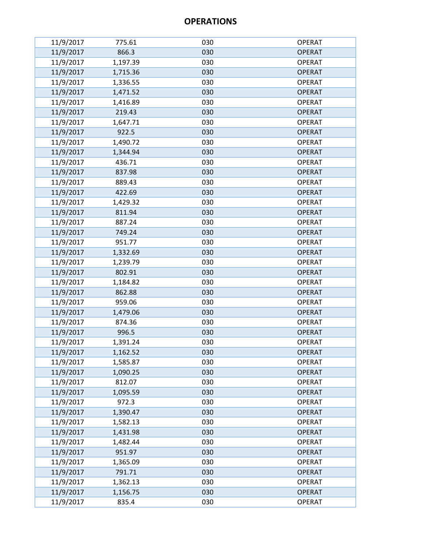| 11/9/2017 | 775.61   | 030 | <b>OPERAT</b> |
|-----------|----------|-----|---------------|
| 11/9/2017 | 866.3    | 030 | <b>OPERAT</b> |
| 11/9/2017 | 1,197.39 | 030 | <b>OPERAT</b> |
| 11/9/2017 | 1,715.36 | 030 | <b>OPERAT</b> |
| 11/9/2017 | 1,336.55 | 030 | <b>OPERAT</b> |
| 11/9/2017 | 1,471.52 | 030 | <b>OPERAT</b> |
| 11/9/2017 | 1,416.89 | 030 | <b>OPERAT</b> |
| 11/9/2017 | 219.43   | 030 | <b>OPERAT</b> |
| 11/9/2017 | 1,647.71 | 030 | <b>OPERAT</b> |
| 11/9/2017 | 922.5    | 030 | <b>OPERAT</b> |
| 11/9/2017 | 1,490.72 | 030 | <b>OPERAT</b> |
| 11/9/2017 | 1,344.94 | 030 | <b>OPERAT</b> |
| 11/9/2017 | 436.71   | 030 | <b>OPERAT</b> |
| 11/9/2017 | 837.98   | 030 | <b>OPERAT</b> |
| 11/9/2017 | 889.43   | 030 | <b>OPERAT</b> |
| 11/9/2017 | 422.69   | 030 | <b>OPERAT</b> |
| 11/9/2017 | 1,429.32 | 030 | <b>OPERAT</b> |
| 11/9/2017 | 811.94   | 030 | <b>OPERAT</b> |
| 11/9/2017 | 887.24   | 030 | <b>OPERAT</b> |
| 11/9/2017 | 749.24   | 030 | <b>OPERAT</b> |
| 11/9/2017 | 951.77   | 030 | <b>OPERAT</b> |
| 11/9/2017 | 1,332.69 | 030 | <b>OPERAT</b> |
| 11/9/2017 | 1,239.79 | 030 | <b>OPERAT</b> |
| 11/9/2017 | 802.91   | 030 | <b>OPERAT</b> |
| 11/9/2017 | 1,184.82 | 030 | <b>OPERAT</b> |
| 11/9/2017 | 862.88   | 030 | <b>OPERAT</b> |
| 11/9/2017 | 959.06   | 030 | <b>OPERAT</b> |
| 11/9/2017 | 1,479.06 | 030 | <b>OPERAT</b> |
| 11/9/2017 | 874.36   | 030 | <b>OPERAT</b> |
| 11/9/2017 | 996.5    | 030 | <b>OPERAT</b> |
| 11/9/2017 | 1,391.24 | 030 | <b>OPERAT</b> |
| 11/9/2017 | 1,162.52 | 030 | <b>OPERAT</b> |
| 11/9/2017 | 1,585.87 | 030 | <b>OPERAT</b> |
| 11/9/2017 | 1,090.25 | 030 | <b>OPERAT</b> |
| 11/9/2017 | 812.07   | 030 | <b>OPERAT</b> |
| 11/9/2017 | 1,095.59 | 030 | <b>OPERAT</b> |
| 11/9/2017 | 972.3    | 030 | <b>OPERAT</b> |
| 11/9/2017 | 1,390.47 | 030 | <b>OPERAT</b> |
| 11/9/2017 | 1,582.13 | 030 | <b>OPERAT</b> |
| 11/9/2017 | 1,431.98 | 030 | <b>OPERAT</b> |
| 11/9/2017 | 1,482.44 | 030 | <b>OPERAT</b> |
| 11/9/2017 | 951.97   | 030 | <b>OPERAT</b> |
| 11/9/2017 | 1,365.09 | 030 | <b>OPERAT</b> |
| 11/9/2017 | 791.71   | 030 | <b>OPERAT</b> |
| 11/9/2017 | 1,362.13 | 030 | <b>OPERAT</b> |
| 11/9/2017 | 1,156.75 | 030 | <b>OPERAT</b> |
| 11/9/2017 | 835.4    | 030 | <b>OPERAT</b> |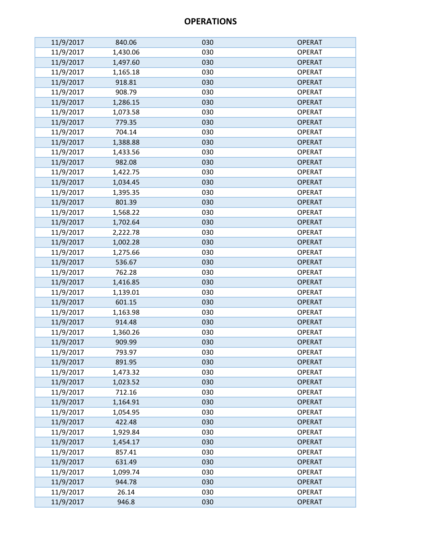| 11/9/2017 | 840.06   | 030 | <b>OPERAT</b> |
|-----------|----------|-----|---------------|
| 11/9/2017 | 1,430.06 | 030 | <b>OPERAT</b> |
| 11/9/2017 | 1,497.60 | 030 | <b>OPERAT</b> |
| 11/9/2017 | 1,165.18 | 030 | <b>OPERAT</b> |
| 11/9/2017 | 918.81   | 030 | <b>OPERAT</b> |
| 11/9/2017 | 908.79   | 030 | <b>OPERAT</b> |
| 11/9/2017 | 1,286.15 | 030 | <b>OPERAT</b> |
| 11/9/2017 | 1,073.58 | 030 | <b>OPERAT</b> |
| 11/9/2017 | 779.35   | 030 | <b>OPERAT</b> |
| 11/9/2017 | 704.14   | 030 | <b>OPERAT</b> |
| 11/9/2017 | 1,388.88 | 030 | <b>OPERAT</b> |
| 11/9/2017 | 1,433.56 | 030 | <b>OPERAT</b> |
| 11/9/2017 | 982.08   | 030 | <b>OPERAT</b> |
| 11/9/2017 | 1,422.75 | 030 | <b>OPERAT</b> |
| 11/9/2017 | 1,034.45 | 030 | <b>OPERAT</b> |
| 11/9/2017 | 1,395.35 | 030 | <b>OPERAT</b> |
| 11/9/2017 | 801.39   | 030 | <b>OPERAT</b> |
| 11/9/2017 | 1,568.22 | 030 | <b>OPERAT</b> |
| 11/9/2017 | 1,702.64 | 030 | <b>OPERAT</b> |
| 11/9/2017 | 2,222.78 | 030 | <b>OPERAT</b> |
| 11/9/2017 | 1,002.28 | 030 | <b>OPERAT</b> |
| 11/9/2017 | 1,275.66 | 030 | <b>OPERAT</b> |
| 11/9/2017 | 536.67   | 030 | <b>OPERAT</b> |
| 11/9/2017 | 762.28   | 030 | <b>OPERAT</b> |
| 11/9/2017 | 1,416.85 | 030 | <b>OPERAT</b> |
| 11/9/2017 | 1,139.01 | 030 | <b>OPERAT</b> |
| 11/9/2017 | 601.15   | 030 | <b>OPERAT</b> |
| 11/9/2017 | 1,163.98 | 030 | <b>OPERAT</b> |
| 11/9/2017 | 914.48   | 030 | <b>OPERAT</b> |
| 11/9/2017 | 1,360.26 | 030 | <b>OPERAT</b> |
| 11/9/2017 | 909.99   | 030 | <b>OPERAT</b> |
| 11/9/2017 | 793.97   | 030 | <b>OPERAT</b> |
| 11/9/2017 | 891.95   | 030 | <b>OPERAT</b> |
| 11/9/2017 | 1,473.32 | 030 | <b>OPERAT</b> |
| 11/9/2017 | 1,023.52 | 030 | <b>OPERAT</b> |
| 11/9/2017 | 712.16   | 030 | <b>OPERAT</b> |
| 11/9/2017 | 1,164.91 | 030 | <b>OPERAT</b> |
| 11/9/2017 | 1,054.95 | 030 | <b>OPERAT</b> |
| 11/9/2017 | 422.48   | 030 | <b>OPERAT</b> |
| 11/9/2017 | 1,929.84 | 030 | <b>OPERAT</b> |
| 11/9/2017 | 1,454.17 | 030 | <b>OPERAT</b> |
| 11/9/2017 | 857.41   | 030 | <b>OPERAT</b> |
| 11/9/2017 | 631.49   | 030 | <b>OPERAT</b> |
| 11/9/2017 | 1,099.74 | 030 | <b>OPERAT</b> |
| 11/9/2017 | 944.78   | 030 | <b>OPERAT</b> |
| 11/9/2017 | 26.14    | 030 | <b>OPERAT</b> |
| 11/9/2017 | 946.8    | 030 | <b>OPERAT</b> |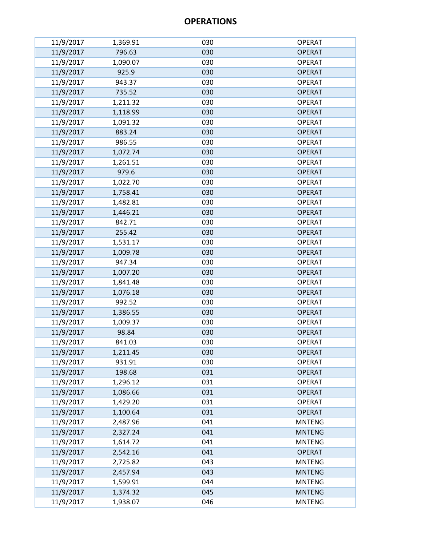| 11/9/2017 | 1,369.91 | 030 | <b>OPERAT</b> |
|-----------|----------|-----|---------------|
| 11/9/2017 | 796.63   | 030 | <b>OPERAT</b> |
| 11/9/2017 | 1,090.07 | 030 | <b>OPERAT</b> |
| 11/9/2017 | 925.9    | 030 | <b>OPERAT</b> |
| 11/9/2017 | 943.37   | 030 | <b>OPERAT</b> |
| 11/9/2017 | 735.52   | 030 | <b>OPERAT</b> |
| 11/9/2017 | 1,211.32 | 030 | <b>OPERAT</b> |
| 11/9/2017 | 1,118.99 | 030 | <b>OPERAT</b> |
| 11/9/2017 | 1,091.32 | 030 | <b>OPERAT</b> |
| 11/9/2017 | 883.24   | 030 | <b>OPERAT</b> |
| 11/9/2017 | 986.55   | 030 | <b>OPERAT</b> |
| 11/9/2017 | 1,072.74 | 030 | <b>OPERAT</b> |
| 11/9/2017 | 1,261.51 | 030 | <b>OPERAT</b> |
| 11/9/2017 | 979.6    | 030 | <b>OPERAT</b> |
| 11/9/2017 | 1,022.70 | 030 | <b>OPERAT</b> |
| 11/9/2017 | 1,758.41 | 030 | <b>OPERAT</b> |
| 11/9/2017 | 1,482.81 | 030 | <b>OPERAT</b> |
| 11/9/2017 | 1,446.21 | 030 | <b>OPERAT</b> |
| 11/9/2017 | 842.71   | 030 | <b>OPERAT</b> |
| 11/9/2017 | 255.42   | 030 | <b>OPERAT</b> |
| 11/9/2017 | 1,531.17 | 030 | <b>OPERAT</b> |
| 11/9/2017 | 1,009.78 | 030 | <b>OPERAT</b> |
| 11/9/2017 | 947.34   | 030 | <b>OPERAT</b> |
| 11/9/2017 | 1,007.20 | 030 | <b>OPERAT</b> |
| 11/9/2017 | 1,841.48 | 030 | <b>OPERAT</b> |
| 11/9/2017 | 1,076.18 | 030 | <b>OPERAT</b> |
| 11/9/2017 | 992.52   | 030 | <b>OPERAT</b> |
| 11/9/2017 | 1,386.55 | 030 | <b>OPERAT</b> |
| 11/9/2017 | 1,009.37 | 030 | <b>OPERAT</b> |
| 11/9/2017 | 98.84    | 030 | <b>OPERAT</b> |
| 11/9/2017 | 841.03   | 030 | <b>OPERAT</b> |
| 11/9/2017 | 1,211.45 | 030 | <b>OPERAT</b> |
| 11/9/2017 | 931.91   | 030 | <b>OPERAT</b> |
| 11/9/2017 | 198.68   | 031 | <b>OPERAT</b> |
| 11/9/2017 | 1,296.12 | 031 | <b>OPERAT</b> |
| 11/9/2017 | 1,086.66 | 031 | <b>OPERAT</b> |
| 11/9/2017 | 1,429.20 | 031 | <b>OPERAT</b> |
| 11/9/2017 | 1,100.64 | 031 | <b>OPERAT</b> |
| 11/9/2017 | 2,487.96 | 041 | <b>MNTENG</b> |
| 11/9/2017 | 2,327.24 | 041 | <b>MNTENG</b> |
| 11/9/2017 | 1,614.72 | 041 | <b>MNTENG</b> |
| 11/9/2017 | 2,542.16 | 041 | <b>OPERAT</b> |
| 11/9/2017 | 2,725.82 | 043 | <b>MNTENG</b> |
| 11/9/2017 | 2,457.94 | 043 | <b>MNTENG</b> |
| 11/9/2017 | 1,599.91 | 044 | <b>MNTENG</b> |
| 11/9/2017 | 1,374.32 | 045 | <b>MNTENG</b> |
| 11/9/2017 | 1,938.07 | 046 | <b>MNTENG</b> |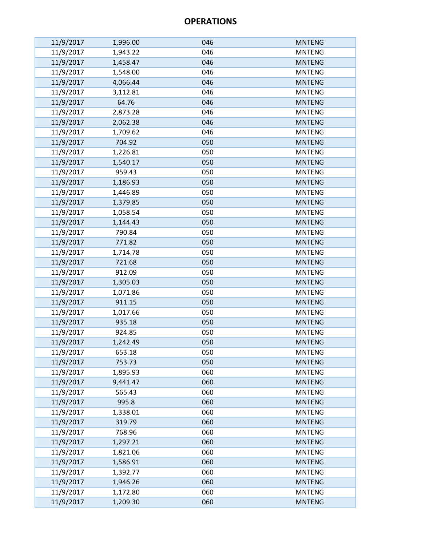| 11/9/2017 | 1,996.00 | 046 | <b>MNTENG</b> |
|-----------|----------|-----|---------------|
| 11/9/2017 | 1,943.22 | 046 | <b>MNTENG</b> |
| 11/9/2017 | 1,458.47 | 046 | <b>MNTENG</b> |
| 11/9/2017 | 1,548.00 | 046 | <b>MNTENG</b> |
| 11/9/2017 | 4,066.44 | 046 | <b>MNTENG</b> |
| 11/9/2017 | 3,112.81 | 046 | <b>MNTENG</b> |
| 11/9/2017 | 64.76    | 046 | <b>MNTENG</b> |
| 11/9/2017 | 2,873.28 | 046 | <b>MNTENG</b> |
| 11/9/2017 | 2,062.38 | 046 | <b>MNTENG</b> |
| 11/9/2017 | 1,709.62 | 046 | <b>MNTENG</b> |
| 11/9/2017 | 704.92   | 050 | <b>MNTENG</b> |
| 11/9/2017 | 1,226.81 | 050 | <b>MNTENG</b> |
| 11/9/2017 | 1,540.17 | 050 | <b>MNTENG</b> |
| 11/9/2017 | 959.43   | 050 | <b>MNTENG</b> |
| 11/9/2017 | 1,186.93 | 050 | <b>MNTENG</b> |
| 11/9/2017 | 1,446.89 | 050 | <b>MNTENG</b> |
| 11/9/2017 | 1,379.85 | 050 | <b>MNTENG</b> |
| 11/9/2017 | 1,058.54 | 050 | <b>MNTENG</b> |
| 11/9/2017 | 1,144.43 | 050 | <b>MNTENG</b> |
| 11/9/2017 | 790.84   | 050 | <b>MNTENG</b> |
| 11/9/2017 | 771.82   | 050 | <b>MNTENG</b> |
| 11/9/2017 | 1,714.78 | 050 | <b>MNTENG</b> |
| 11/9/2017 | 721.68   | 050 | <b>MNTENG</b> |
| 11/9/2017 | 912.09   | 050 | <b>MNTENG</b> |
| 11/9/2017 | 1,305.03 | 050 | <b>MNTENG</b> |
| 11/9/2017 | 1,071.86 | 050 | <b>MNTENG</b> |
| 11/9/2017 | 911.15   | 050 | <b>MNTENG</b> |
| 11/9/2017 | 1,017.66 | 050 | <b>MNTENG</b> |
| 11/9/2017 | 935.18   | 050 | <b>MNTENG</b> |
| 11/9/2017 | 924.85   | 050 | <b>MNTENG</b> |
| 11/9/2017 | 1,242.49 | 050 | <b>MNTENG</b> |
| 11/9/2017 | 653.18   | 050 | <b>MNTENG</b> |
| 11/9/2017 | 753.73   | 050 | <b>MNTENG</b> |
| 11/9/2017 | 1,895.93 | 060 | <b>MNTENG</b> |
| 11/9/2017 | 9,441.47 | 060 | <b>MNTENG</b> |
| 11/9/2017 | 565.43   | 060 | <b>MNTENG</b> |
| 11/9/2017 | 995.8    | 060 | <b>MNTENG</b> |
| 11/9/2017 | 1,338.01 | 060 | <b>MNTENG</b> |
| 11/9/2017 | 319.79   | 060 | <b>MNTENG</b> |
| 11/9/2017 | 768.96   | 060 | <b>MNTENG</b> |
| 11/9/2017 | 1,297.21 | 060 | <b>MNTENG</b> |
| 11/9/2017 | 1,821.06 | 060 | <b>MNTENG</b> |
| 11/9/2017 | 1,586.91 | 060 | <b>MNTENG</b> |
| 11/9/2017 | 1,392.77 | 060 | <b>MNTENG</b> |
| 11/9/2017 | 1,946.26 | 060 | <b>MNTENG</b> |
| 11/9/2017 | 1,172.80 | 060 | <b>MNTENG</b> |
| 11/9/2017 | 1,209.30 | 060 | <b>MNTENG</b> |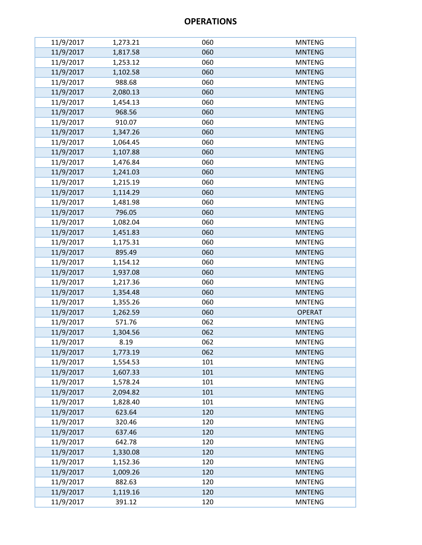| 11/9/2017 | 1,273.21 | 060 | <b>MNTENG</b> |
|-----------|----------|-----|---------------|
| 11/9/2017 | 1,817.58 | 060 | <b>MNTENG</b> |
| 11/9/2017 | 1,253.12 | 060 | <b>MNTENG</b> |
| 11/9/2017 | 1,102.58 | 060 | <b>MNTENG</b> |
| 11/9/2017 | 988.68   | 060 | <b>MNTENG</b> |
| 11/9/2017 | 2,080.13 | 060 | <b>MNTENG</b> |
| 11/9/2017 | 1,454.13 | 060 | <b>MNTENG</b> |
| 11/9/2017 | 968.56   | 060 | <b>MNTENG</b> |
| 11/9/2017 | 910.07   | 060 | <b>MNTENG</b> |
| 11/9/2017 | 1,347.26 | 060 | <b>MNTENG</b> |
| 11/9/2017 | 1,064.45 | 060 | <b>MNTENG</b> |
| 11/9/2017 | 1,107.88 | 060 | <b>MNTENG</b> |
| 11/9/2017 | 1,476.84 | 060 | <b>MNTENG</b> |
| 11/9/2017 | 1,241.03 | 060 | <b>MNTENG</b> |
| 11/9/2017 | 1,215.19 | 060 | <b>MNTENG</b> |
| 11/9/2017 | 1,114.29 | 060 | <b>MNTENG</b> |
| 11/9/2017 | 1,481.98 | 060 | <b>MNTENG</b> |
| 11/9/2017 | 796.05   | 060 | <b>MNTENG</b> |
| 11/9/2017 | 1,082.04 | 060 | <b>MNTENG</b> |
| 11/9/2017 | 1,451.83 | 060 | <b>MNTENG</b> |
| 11/9/2017 | 1,175.31 | 060 | <b>MNTENG</b> |
| 11/9/2017 | 895.49   | 060 | <b>MNTENG</b> |
| 11/9/2017 | 1,154.12 | 060 | <b>MNTENG</b> |
| 11/9/2017 | 1,937.08 | 060 | <b>MNTENG</b> |
| 11/9/2017 | 1,217.36 | 060 | <b>MNTENG</b> |
| 11/9/2017 | 1,354.48 | 060 | <b>MNTENG</b> |
| 11/9/2017 | 1,355.26 | 060 | <b>MNTENG</b> |
| 11/9/2017 | 1,262.59 | 060 | <b>OPERAT</b> |
| 11/9/2017 | 571.76   | 062 | <b>MNTENG</b> |
| 11/9/2017 | 1,304.56 | 062 | <b>MNTENG</b> |
| 11/9/2017 | 8.19     | 062 | <b>MNTENG</b> |
| 11/9/2017 | 1,773.19 | 062 | <b>MNTENG</b> |
| 11/9/2017 | 1,554.53 | 101 | <b>MNTENG</b> |
| 11/9/2017 | 1,607.33 | 101 | <b>MNTENG</b> |
| 11/9/2017 | 1,578.24 | 101 | <b>MNTENG</b> |
| 11/9/2017 | 2,094.82 | 101 | <b>MNTENG</b> |
| 11/9/2017 | 1,828.40 | 101 | <b>MNTENG</b> |
| 11/9/2017 | 623.64   | 120 | <b>MNTENG</b> |
| 11/9/2017 | 320.46   | 120 | <b>MNTENG</b> |
| 11/9/2017 | 637.46   | 120 | <b>MNTENG</b> |
| 11/9/2017 | 642.78   | 120 | <b>MNTENG</b> |
| 11/9/2017 | 1,330.08 | 120 | <b>MNTENG</b> |
| 11/9/2017 | 1,152.36 | 120 | <b>MNTENG</b> |
| 11/9/2017 | 1,009.26 | 120 | <b>MNTENG</b> |
| 11/9/2017 | 882.63   | 120 | <b>MNTENG</b> |
| 11/9/2017 | 1,119.16 | 120 | <b>MNTENG</b> |
| 11/9/2017 | 391.12   | 120 | <b>MNTENG</b> |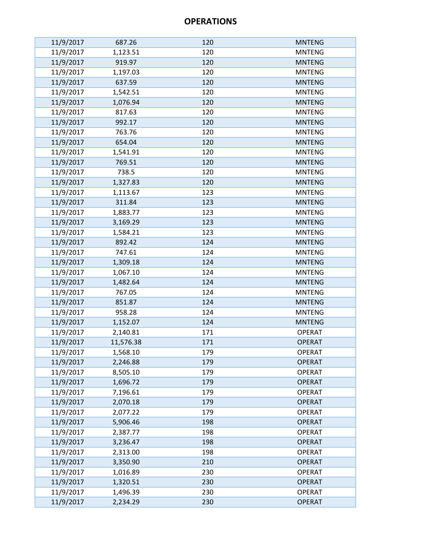| 11/9/2017 | 687.26    | 120 | <b>MNTENG</b> |
|-----------|-----------|-----|---------------|
| 11/9/2017 | 1,123.51  | 120 | <b>MNTENG</b> |
| 11/9/2017 | 919.97    | 120 | <b>MNTENG</b> |
| 11/9/2017 | 1,197.03  | 120 | <b>MNTENG</b> |
| 11/9/2017 | 637.59    | 120 | <b>MNTENG</b> |
| 11/9/2017 | 1,542.51  | 120 | <b>MNTENG</b> |
| 11/9/2017 | 1,076.94  | 120 | <b>MNTENG</b> |
| 11/9/2017 | 817.63    | 120 | <b>MNTENG</b> |
| 11/9/2017 | 992.17    | 120 | <b>MNTENG</b> |
| 11/9/2017 | 763.76    | 120 | <b>MNTENG</b> |
| 11/9/2017 | 654.04    | 120 | <b>MNTENG</b> |
| 11/9/2017 | 1,541.91  | 120 | <b>MNTENG</b> |
| 11/9/2017 | 769.51    | 120 | <b>MNTENG</b> |
| 11/9/2017 | 738.5     | 120 | <b>MNTENG</b> |
| 11/9/2017 | 1,327.83  | 120 | <b>MNTENG</b> |
| 11/9/2017 | 1,113.67  | 123 | <b>MNTENG</b> |
| 11/9/2017 | 311.84    | 123 | <b>MNTENG</b> |
| 11/9/2017 | 1,883.77  | 123 | <b>MNTENG</b> |
| 11/9/2017 | 3,169.29  | 123 | <b>MNTENG</b> |
| 11/9/2017 | 1,584.21  | 123 | <b>MNTENG</b> |
| 11/9/2017 | 892.42    | 124 | <b>MNTENG</b> |
| 11/9/2017 | 747.61    | 124 | <b>MNTENG</b> |
| 11/9/2017 | 1,309.18  | 124 | <b>MNTENG</b> |
| 11/9/2017 | 1,067.10  | 124 | <b>MNTENG</b> |
| 11/9/2017 | 1,482.64  | 124 | <b>MNTENG</b> |
| 11/9/2017 | 767.05    | 124 | <b>MNTENG</b> |
| 11/9/2017 | 851.87    | 124 | <b>MNTENG</b> |
| 11/9/2017 | 958.28    | 124 | <b>MNTENG</b> |
| 11/9/2017 | 1,152.07  | 124 | <b>MNTENG</b> |
| 11/9/2017 | 2,140.81  | 171 | <b>OPERAT</b> |
| 11/9/2017 | 11,576.38 | 171 | <b>OPERAT</b> |
| 11/9/2017 | 1,568.10  | 179 | <b>OPERAT</b> |
| 11/9/2017 | 2,246.88  | 179 | <b>OPERAT</b> |
| 11/9/2017 | 8,505.10  | 179 | <b>OPERAT</b> |
| 11/9/2017 | 1,696.72  | 179 | <b>OPERAT</b> |
| 11/9/2017 | 7,196.61  | 179 | <b>OPERAT</b> |
| 11/9/2017 | 2,070.18  | 179 | <b>OPERAT</b> |
| 11/9/2017 | 2,077.22  | 179 | <b>OPERAT</b> |
| 11/9/2017 | 5,906.46  | 198 | <b>OPERAT</b> |
| 11/9/2017 | 2,387.77  | 198 | <b>OPERAT</b> |
| 11/9/2017 | 3,236.47  | 198 | <b>OPERAT</b> |
| 11/9/2017 | 2,313.00  | 198 | <b>OPERAT</b> |
| 11/9/2017 | 3,350.90  | 210 | <b>OPERAT</b> |
| 11/9/2017 | 1,016.89  | 230 | <b>OPERAT</b> |
| 11/9/2017 | 1,320.51  | 230 | <b>OPERAT</b> |
| 11/9/2017 | 1,496.39  | 230 | <b>OPERAT</b> |
| 11/9/2017 | 2,234.29  | 230 | <b>OPERAT</b> |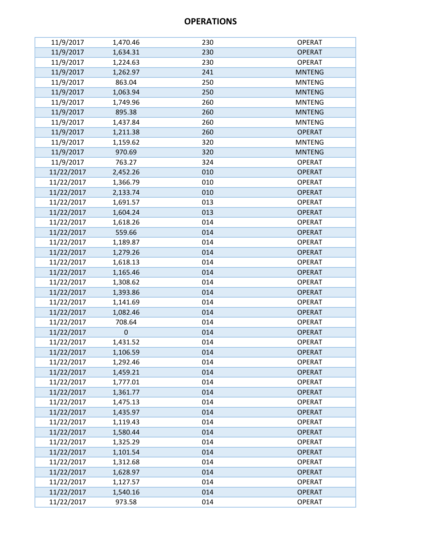| 11/9/2017  | 1,470.46    | 230 | <b>OPERAT</b> |
|------------|-------------|-----|---------------|
| 11/9/2017  | 1,634.31    | 230 | <b>OPERAT</b> |
| 11/9/2017  | 1,224.63    | 230 | <b>OPERAT</b> |
| 11/9/2017  | 1,262.97    | 241 | <b>MNTENG</b> |
| 11/9/2017  | 863.04      | 250 | <b>MNTENG</b> |
| 11/9/2017  | 1,063.94    | 250 | <b>MNTENG</b> |
| 11/9/2017  | 1,749.96    | 260 | <b>MNTENG</b> |
| 11/9/2017  | 895.38      | 260 | <b>MNTENG</b> |
| 11/9/2017  | 1,437.84    | 260 | <b>MNTENG</b> |
| 11/9/2017  | 1,211.38    | 260 | <b>OPERAT</b> |
| 11/9/2017  | 1,159.62    | 320 | <b>MNTENG</b> |
| 11/9/2017  | 970.69      | 320 | <b>MNTENG</b> |
| 11/9/2017  | 763.27      | 324 | <b>OPERAT</b> |
| 11/22/2017 | 2,452.26    | 010 | <b>OPERAT</b> |
| 11/22/2017 | 1,366.79    | 010 | <b>OPERAT</b> |
| 11/22/2017 | 2,133.74    | 010 | <b>OPERAT</b> |
| 11/22/2017 | 1,691.57    | 013 | <b>OPERAT</b> |
| 11/22/2017 | 1,604.24    | 013 | <b>OPERAT</b> |
| 11/22/2017 | 1,618.26    | 014 | <b>OPERAT</b> |
| 11/22/2017 | 559.66      | 014 | <b>OPERAT</b> |
| 11/22/2017 | 1,189.87    | 014 | <b>OPERAT</b> |
| 11/22/2017 | 1,279.26    | 014 | <b>OPERAT</b> |
| 11/22/2017 | 1,618.13    | 014 | <b>OPERAT</b> |
| 11/22/2017 | 1,165.46    | 014 | <b>OPERAT</b> |
| 11/22/2017 | 1,308.62    | 014 | <b>OPERAT</b> |
| 11/22/2017 | 1,393.86    | 014 | <b>OPERAT</b> |
| 11/22/2017 | 1,141.69    | 014 | <b>OPERAT</b> |
| 11/22/2017 | 1,082.46    | 014 | <b>OPERAT</b> |
| 11/22/2017 | 708.64      | 014 | <b>OPERAT</b> |
| 11/22/2017 | $\mathbf 0$ | 014 | <b>OPERAT</b> |
| 11/22/2017 | 1,431.52    | 014 | <b>OPERAT</b> |
| 11/22/2017 | 1,106.59    | 014 | <b>OPERAT</b> |
| 11/22/2017 | 1,292.46    | 014 | <b>OPERAT</b> |
| 11/22/2017 | 1,459.21    | 014 | <b>OPERAT</b> |
| 11/22/2017 | 1,777.01    | 014 | <b>OPERAT</b> |
| 11/22/2017 | 1,361.77    | 014 | <b>OPERAT</b> |
| 11/22/2017 | 1,475.13    | 014 | <b>OPERAT</b> |
| 11/22/2017 | 1,435.97    | 014 | <b>OPERAT</b> |
| 11/22/2017 | 1,119.43    | 014 | <b>OPERAT</b> |
| 11/22/2017 | 1,580.44    | 014 | <b>OPERAT</b> |
| 11/22/2017 | 1,325.29    | 014 | <b>OPERAT</b> |
| 11/22/2017 | 1,101.54    | 014 | <b>OPERAT</b> |
| 11/22/2017 | 1,312.68    | 014 | <b>OPERAT</b> |
| 11/22/2017 | 1,628.97    | 014 | <b>OPERAT</b> |
| 11/22/2017 | 1,127.57    | 014 | <b>OPERAT</b> |
| 11/22/2017 | 1,540.16    | 014 | <b>OPERAT</b> |
| 11/22/2017 | 973.58      | 014 | <b>OPERAT</b> |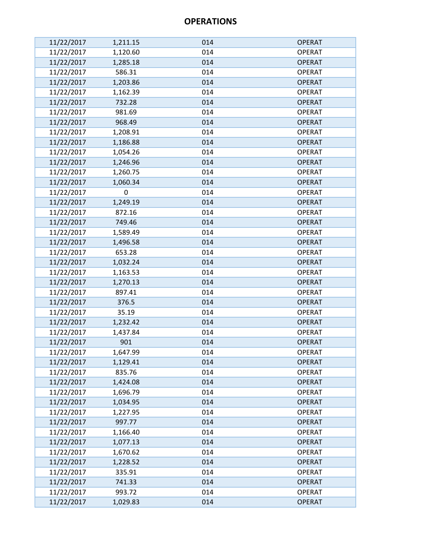| 11/22/2017 | 1,211.15 | 014 | <b>OPERAT</b> |
|------------|----------|-----|---------------|
| 11/22/2017 | 1,120.60 | 014 | <b>OPERAT</b> |
| 11/22/2017 | 1,285.18 | 014 | <b>OPERAT</b> |
| 11/22/2017 | 586.31   | 014 | <b>OPERAT</b> |
| 11/22/2017 | 1,203.86 | 014 | <b>OPERAT</b> |
| 11/22/2017 | 1,162.39 | 014 | <b>OPERAT</b> |
| 11/22/2017 | 732.28   | 014 | <b>OPERAT</b> |
| 11/22/2017 | 981.69   | 014 | <b>OPERAT</b> |
| 11/22/2017 | 968.49   | 014 | <b>OPERAT</b> |
| 11/22/2017 | 1,208.91 | 014 | <b>OPERAT</b> |
| 11/22/2017 | 1,186.88 | 014 | <b>OPERAT</b> |
| 11/22/2017 | 1,054.26 | 014 | <b>OPERAT</b> |
| 11/22/2017 | 1,246.96 | 014 | <b>OPERAT</b> |
| 11/22/2017 | 1,260.75 | 014 | <b>OPERAT</b> |
| 11/22/2017 | 1,060.34 | 014 | <b>OPERAT</b> |
| 11/22/2017 | 0        | 014 | <b>OPERAT</b> |
| 11/22/2017 | 1,249.19 | 014 | <b>OPERAT</b> |
| 11/22/2017 | 872.16   | 014 | <b>OPERAT</b> |
| 11/22/2017 | 749.46   | 014 | <b>OPERAT</b> |
| 11/22/2017 | 1,589.49 | 014 | <b>OPERAT</b> |
| 11/22/2017 | 1,496.58 | 014 | <b>OPERAT</b> |
| 11/22/2017 | 653.28   | 014 | <b>OPERAT</b> |
| 11/22/2017 | 1,032.24 | 014 | <b>OPERAT</b> |
| 11/22/2017 | 1,163.53 | 014 | <b>OPERAT</b> |
| 11/22/2017 | 1,270.13 | 014 | <b>OPERAT</b> |
| 11/22/2017 | 897.41   | 014 | <b>OPERAT</b> |
| 11/22/2017 | 376.5    | 014 | <b>OPERAT</b> |
| 11/22/2017 | 35.19    | 014 | <b>OPERAT</b> |
| 11/22/2017 | 1,232.42 | 014 | <b>OPERAT</b> |
| 11/22/2017 | 1,437.84 | 014 | <b>OPERAT</b> |
| 11/22/2017 | 901      | 014 | <b>OPERAT</b> |
| 11/22/2017 | 1,647.99 | 014 | <b>OPERAT</b> |
| 11/22/2017 | 1,129.41 | 014 | <b>OPERAT</b> |
| 11/22/2017 | 835.76   | 014 | <b>OPERAT</b> |
| 11/22/2017 | 1,424.08 | 014 | <b>OPERAT</b> |
| 11/22/2017 | 1,696.79 | 014 | <b>OPERAT</b> |
| 11/22/2017 | 1,034.95 | 014 | <b>OPERAT</b> |
| 11/22/2017 | 1,227.95 | 014 | <b>OPERAT</b> |
| 11/22/2017 | 997.77   | 014 | <b>OPERAT</b> |
| 11/22/2017 | 1,166.40 | 014 | <b>OPERAT</b> |
| 11/22/2017 | 1,077.13 | 014 | <b>OPERAT</b> |
| 11/22/2017 | 1,670.62 | 014 | <b>OPERAT</b> |
| 11/22/2017 | 1,228.52 | 014 | <b>OPERAT</b> |
| 11/22/2017 | 335.91   | 014 | <b>OPERAT</b> |
| 11/22/2017 | 741.33   | 014 | <b>OPERAT</b> |
| 11/22/2017 | 993.72   | 014 | <b>OPERAT</b> |
| 11/22/2017 | 1,029.83 | 014 | <b>OPERAT</b> |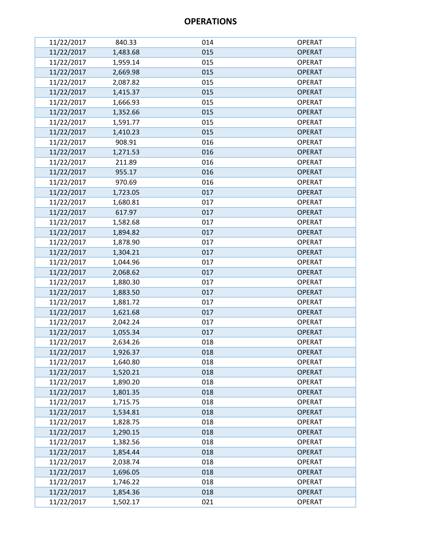| 11/22/2017 | 840.33   | 014 | <b>OPERAT</b> |
|------------|----------|-----|---------------|
| 11/22/2017 | 1,483.68 | 015 | <b>OPERAT</b> |
| 11/22/2017 | 1,959.14 | 015 | <b>OPERAT</b> |
| 11/22/2017 | 2,669.98 | 015 | <b>OPERAT</b> |
| 11/22/2017 | 2,087.82 | 015 | <b>OPERAT</b> |
| 11/22/2017 | 1,415.37 | 015 | <b>OPERAT</b> |
| 11/22/2017 | 1,666.93 | 015 | <b>OPERAT</b> |
| 11/22/2017 | 1,352.66 | 015 | <b>OPERAT</b> |
| 11/22/2017 | 1,591.77 | 015 | <b>OPERAT</b> |
| 11/22/2017 | 1,410.23 | 015 | <b>OPERAT</b> |
| 11/22/2017 | 908.91   | 016 | <b>OPERAT</b> |
| 11/22/2017 | 1,271.53 | 016 | <b>OPERAT</b> |
| 11/22/2017 | 211.89   | 016 | <b>OPERAT</b> |
| 11/22/2017 | 955.17   | 016 | <b>OPERAT</b> |
| 11/22/2017 | 970.69   | 016 | <b>OPERAT</b> |
| 11/22/2017 | 1,723.05 | 017 | <b>OPERAT</b> |
| 11/22/2017 | 1,680.81 | 017 | <b>OPERAT</b> |
| 11/22/2017 | 617.97   | 017 | <b>OPERAT</b> |
| 11/22/2017 | 1,582.68 | 017 | <b>OPERAT</b> |
| 11/22/2017 | 1,894.82 | 017 | <b>OPERAT</b> |
| 11/22/2017 | 1,878.90 | 017 | <b>OPERAT</b> |
| 11/22/2017 | 1,304.21 | 017 | <b>OPERAT</b> |
| 11/22/2017 | 1,044.96 | 017 | <b>OPERAT</b> |
| 11/22/2017 | 2,068.62 | 017 | <b>OPERAT</b> |
| 11/22/2017 | 1,880.30 | 017 | <b>OPERAT</b> |
| 11/22/2017 | 1,883.50 | 017 | <b>OPERAT</b> |
| 11/22/2017 | 1,881.72 | 017 | <b>OPERAT</b> |
| 11/22/2017 | 1,621.68 | 017 | <b>OPERAT</b> |
| 11/22/2017 | 2,042.24 | 017 | <b>OPERAT</b> |
| 11/22/2017 | 1,055.34 | 017 | <b>OPERAT</b> |
| 11/22/2017 | 2,634.26 | 018 | <b>OPERAT</b> |
| 11/22/2017 | 1,926.37 | 018 | <b>OPERAT</b> |
| 11/22/2017 | 1,640.80 | 018 | <b>OPERAT</b> |
| 11/22/2017 | 1,520.21 | 018 | <b>OPERAT</b> |
| 11/22/2017 | 1,890.20 | 018 | <b>OPERAT</b> |
| 11/22/2017 | 1,801.35 | 018 | <b>OPERAT</b> |
| 11/22/2017 | 1,715.75 | 018 | <b>OPERAT</b> |
| 11/22/2017 | 1,534.81 | 018 | <b>OPERAT</b> |
| 11/22/2017 | 1,828.75 | 018 | <b>OPERAT</b> |
| 11/22/2017 | 1,290.15 | 018 | <b>OPERAT</b> |
| 11/22/2017 | 1,382.56 | 018 | <b>OPERAT</b> |
| 11/22/2017 | 1,854.44 | 018 | <b>OPERAT</b> |
| 11/22/2017 | 2,038.74 | 018 | <b>OPERAT</b> |
| 11/22/2017 | 1,696.05 | 018 | <b>OPERAT</b> |
| 11/22/2017 | 1,746.22 | 018 | <b>OPERAT</b> |
| 11/22/2017 | 1,854.36 | 018 | <b>OPERAT</b> |
| 11/22/2017 | 1,502.17 | 021 | <b>OPERAT</b> |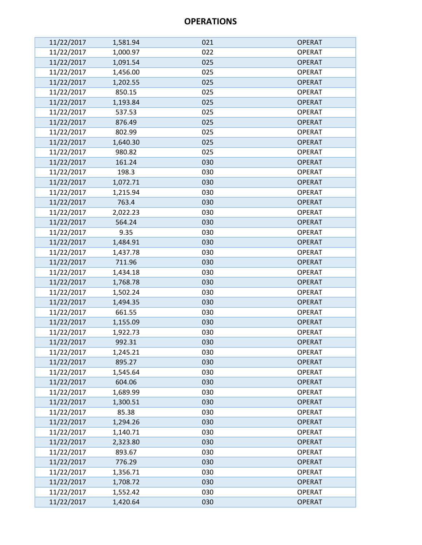| 11/22/2017 | 1,581.94 | 021 | <b>OPERAT</b> |
|------------|----------|-----|---------------|
| 11/22/2017 | 1,000.97 | 022 | <b>OPERAT</b> |
| 11/22/2017 | 1,091.54 | 025 | <b>OPERAT</b> |
| 11/22/2017 | 1,456.00 | 025 | <b>OPERAT</b> |
| 11/22/2017 | 1,202.55 | 025 | <b>OPERAT</b> |
| 11/22/2017 | 850.15   | 025 | <b>OPERAT</b> |
| 11/22/2017 | 1,193.84 | 025 | <b>OPERAT</b> |
| 11/22/2017 | 537.53   | 025 | <b>OPERAT</b> |
| 11/22/2017 | 876.49   | 025 | <b>OPERAT</b> |
| 11/22/2017 | 802.99   | 025 | <b>OPERAT</b> |
| 11/22/2017 | 1,640.30 | 025 | <b>OPERAT</b> |
| 11/22/2017 | 980.82   | 025 | <b>OPERAT</b> |
| 11/22/2017 | 161.24   | 030 | <b>OPERAT</b> |
| 11/22/2017 | 198.3    | 030 | <b>OPERAT</b> |
| 11/22/2017 | 1,072.71 | 030 | <b>OPERAT</b> |
| 11/22/2017 | 1,215.94 | 030 | <b>OPERAT</b> |
| 11/22/2017 | 763.4    | 030 | <b>OPERAT</b> |
| 11/22/2017 | 2,022.23 | 030 | <b>OPERAT</b> |
| 11/22/2017 | 564.24   | 030 | <b>OPERAT</b> |
| 11/22/2017 | 9.35     | 030 | <b>OPERAT</b> |
| 11/22/2017 | 1,484.91 | 030 | <b>OPERAT</b> |
| 11/22/2017 | 1,437.78 | 030 | <b>OPERAT</b> |
| 11/22/2017 | 711.96   | 030 | <b>OPERAT</b> |
| 11/22/2017 | 1,434.18 | 030 | <b>OPERAT</b> |
| 11/22/2017 | 1,768.78 | 030 | <b>OPERAT</b> |
| 11/22/2017 | 1,502.24 | 030 | <b>OPERAT</b> |
| 11/22/2017 | 1,494.35 | 030 | <b>OPERAT</b> |
| 11/22/2017 | 661.55   | 030 | <b>OPERAT</b> |
| 11/22/2017 | 1,155.09 | 030 | <b>OPERAT</b> |
| 11/22/2017 | 1,922.73 | 030 | <b>OPERAT</b> |
| 11/22/2017 | 992.31   | 030 | <b>OPERAT</b> |
| 11/22/2017 | 1,245.21 | 030 | <b>OPERAT</b> |
| 11/22/2017 | 895.27   | 030 | <b>OPERAT</b> |
| 11/22/2017 | 1,545.64 | 030 | <b>OPERAT</b> |
| 11/22/2017 | 604.06   | 030 | <b>OPERAT</b> |
| 11/22/2017 | 1,689.99 | 030 | <b>OPERAT</b> |
| 11/22/2017 | 1,300.51 | 030 | <b>OPERAT</b> |
| 11/22/2017 | 85.38    | 030 | <b>OPERAT</b> |
| 11/22/2017 | 1,294.26 | 030 | <b>OPERAT</b> |
| 11/22/2017 | 1,140.71 | 030 | <b>OPERAT</b> |
| 11/22/2017 | 2,323.80 | 030 | <b>OPERAT</b> |
| 11/22/2017 | 893.67   | 030 | <b>OPERAT</b> |
| 11/22/2017 | 776.29   | 030 | <b>OPERAT</b> |
| 11/22/2017 | 1,356.71 | 030 | <b>OPERAT</b> |
| 11/22/2017 | 1,708.72 | 030 | <b>OPERAT</b> |
| 11/22/2017 | 1,552.42 | 030 | <b>OPERAT</b> |
| 11/22/2017 | 1,420.64 | 030 | <b>OPERAT</b> |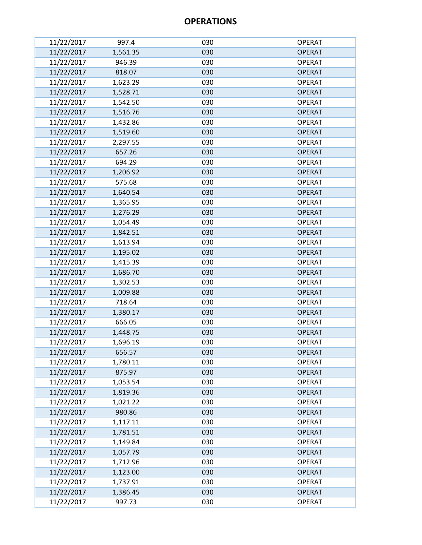| 11/22/2017 | 997.4    | 030 | <b>OPERAT</b> |
|------------|----------|-----|---------------|
| 11/22/2017 | 1,561.35 | 030 | <b>OPERAT</b> |
| 11/22/2017 | 946.39   | 030 | <b>OPERAT</b> |
| 11/22/2017 | 818.07   | 030 | <b>OPERAT</b> |
| 11/22/2017 | 1,623.29 | 030 | <b>OPERAT</b> |
| 11/22/2017 | 1,528.71 | 030 | <b>OPERAT</b> |
| 11/22/2017 | 1,542.50 | 030 | <b>OPERAT</b> |
| 11/22/2017 | 1,516.76 | 030 | <b>OPERAT</b> |
| 11/22/2017 | 1,432.86 | 030 | <b>OPERAT</b> |
| 11/22/2017 | 1,519.60 | 030 | <b>OPERAT</b> |
| 11/22/2017 | 2,297.55 | 030 | <b>OPERAT</b> |
| 11/22/2017 | 657.26   | 030 | <b>OPERAT</b> |
| 11/22/2017 | 694.29   | 030 | <b>OPERAT</b> |
| 11/22/2017 | 1,206.92 | 030 | <b>OPERAT</b> |
| 11/22/2017 | 575.68   | 030 | <b>OPERAT</b> |
| 11/22/2017 | 1,640.54 | 030 | <b>OPERAT</b> |
| 11/22/2017 | 1,365.95 | 030 | <b>OPERAT</b> |
| 11/22/2017 | 1,276.29 | 030 | <b>OPERAT</b> |
| 11/22/2017 | 1,054.49 | 030 | <b>OPERAT</b> |
| 11/22/2017 | 1,842.51 | 030 | <b>OPERAT</b> |
| 11/22/2017 | 1,613.94 | 030 | <b>OPERAT</b> |
| 11/22/2017 | 1,195.02 | 030 | <b>OPERAT</b> |
| 11/22/2017 | 1,415.39 | 030 | <b>OPERAT</b> |
| 11/22/2017 | 1,686.70 | 030 | <b>OPERAT</b> |
| 11/22/2017 | 1,302.53 | 030 | <b>OPERAT</b> |
| 11/22/2017 | 1,009.88 | 030 | <b>OPERAT</b> |
| 11/22/2017 | 718.64   | 030 | <b>OPERAT</b> |
| 11/22/2017 | 1,380.17 | 030 | <b>OPERAT</b> |
| 11/22/2017 | 666.05   | 030 | <b>OPERAT</b> |
| 11/22/2017 | 1,448.75 | 030 | <b>OPERAT</b> |
| 11/22/2017 | 1,696.19 | 030 | <b>OPERAT</b> |
| 11/22/2017 | 656.57   | 030 | <b>OPERAT</b> |
| 11/22/2017 | 1,780.11 | 030 | <b>OPERAT</b> |
| 11/22/2017 | 875.97   | 030 | <b>OPERAT</b> |
| 11/22/2017 | 1,053.54 | 030 | <b>OPERAT</b> |
| 11/22/2017 | 1,819.36 | 030 | <b>OPERAT</b> |
| 11/22/2017 | 1,021.22 | 030 | <b>OPERAT</b> |
| 11/22/2017 | 980.86   | 030 | <b>OPERAT</b> |
| 11/22/2017 | 1,117.11 | 030 | <b>OPERAT</b> |
| 11/22/2017 | 1,781.51 | 030 | <b>OPERAT</b> |
| 11/22/2017 | 1,149.84 | 030 | <b>OPERAT</b> |
| 11/22/2017 | 1,057.79 | 030 | <b>OPERAT</b> |
| 11/22/2017 | 1,712.96 | 030 | <b>OPERAT</b> |
| 11/22/2017 | 1,123.00 | 030 | <b>OPERAT</b> |
| 11/22/2017 | 1,737.91 | 030 | <b>OPERAT</b> |
| 11/22/2017 | 1,386.45 | 030 | <b>OPERAT</b> |
| 11/22/2017 | 997.73   | 030 | <b>OPERAT</b> |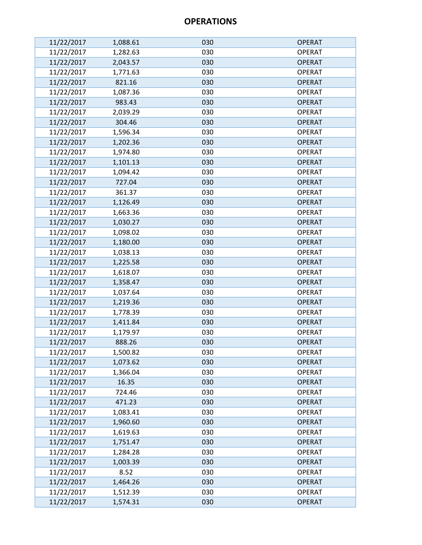| 11/22/2017 | 1,088.61 | 030 | <b>OPERAT</b> |
|------------|----------|-----|---------------|
| 11/22/2017 | 1,282.63 | 030 | <b>OPERAT</b> |
| 11/22/2017 | 2,043.57 | 030 | <b>OPERAT</b> |
| 11/22/2017 | 1,771.63 | 030 | <b>OPERAT</b> |
| 11/22/2017 | 821.16   | 030 | <b>OPERAT</b> |
| 11/22/2017 | 1,087.36 | 030 | <b>OPERAT</b> |
| 11/22/2017 | 983.43   | 030 | <b>OPERAT</b> |
| 11/22/2017 | 2,039.29 | 030 | <b>OPERAT</b> |
| 11/22/2017 | 304.46   | 030 | <b>OPERAT</b> |
| 11/22/2017 | 1,596.34 | 030 | <b>OPERAT</b> |
| 11/22/2017 | 1,202.36 | 030 | <b>OPERAT</b> |
| 11/22/2017 | 1,974.80 | 030 | <b>OPERAT</b> |
| 11/22/2017 | 1,101.13 | 030 | <b>OPERAT</b> |
| 11/22/2017 | 1,094.42 | 030 | <b>OPERAT</b> |
| 11/22/2017 | 727.04   | 030 | <b>OPERAT</b> |
| 11/22/2017 | 361.37   | 030 | <b>OPERAT</b> |
| 11/22/2017 | 1,126.49 | 030 | <b>OPERAT</b> |
| 11/22/2017 | 1,663.36 | 030 | <b>OPERAT</b> |
| 11/22/2017 | 1,030.27 | 030 | <b>OPERAT</b> |
| 11/22/2017 | 1,098.02 | 030 | <b>OPERAT</b> |
| 11/22/2017 | 1,180.00 | 030 | <b>OPERAT</b> |
| 11/22/2017 | 1,038.13 | 030 | <b>OPERAT</b> |
| 11/22/2017 | 1,225.58 | 030 | <b>OPERAT</b> |
| 11/22/2017 | 1,618.07 | 030 | <b>OPERAT</b> |
| 11/22/2017 | 1,358.47 | 030 | <b>OPERAT</b> |
| 11/22/2017 | 1,037.64 | 030 | <b>OPERAT</b> |
| 11/22/2017 | 1,219.36 | 030 | <b>OPERAT</b> |
| 11/22/2017 | 1,778.39 | 030 | <b>OPERAT</b> |
| 11/22/2017 | 1,411.84 | 030 | <b>OPERAT</b> |
| 11/22/2017 | 1,179.97 | 030 | <b>OPERAT</b> |
| 11/22/2017 | 888.26   | 030 | <b>OPERAT</b> |
| 11/22/2017 | 1,500.82 | 030 | <b>OPERAT</b> |
| 11/22/2017 | 1,073.62 | 030 | <b>OPERAT</b> |
| 11/22/2017 | 1,366.04 | 030 | <b>OPERAT</b> |
| 11/22/2017 | 16.35    | 030 | <b>OPERAT</b> |
| 11/22/2017 | 724.46   | 030 | <b>OPERAT</b> |
| 11/22/2017 | 471.23   | 030 | <b>OPERAT</b> |
| 11/22/2017 | 1,083.41 | 030 | <b>OPERAT</b> |
| 11/22/2017 | 1,960.60 | 030 | <b>OPERAT</b> |
| 11/22/2017 | 1,619.63 | 030 | <b>OPERAT</b> |
| 11/22/2017 | 1,751.47 | 030 | <b>OPERAT</b> |
| 11/22/2017 | 1,284.28 | 030 | <b>OPERAT</b> |
| 11/22/2017 | 1,003.39 | 030 | <b>OPERAT</b> |
| 11/22/2017 | 8.52     | 030 | <b>OPERAT</b> |
| 11/22/2017 | 1,464.26 | 030 | <b>OPERAT</b> |
| 11/22/2017 | 1,512.39 | 030 | <b>OPERAT</b> |
| 11/22/2017 | 1,574.31 | 030 | <b>OPERAT</b> |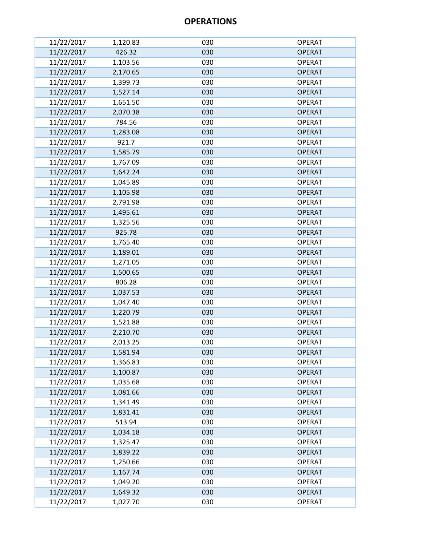| 11/22/2017 | 1,120.83 | 030 | <b>OPERAT</b> |
|------------|----------|-----|---------------|
| 11/22/2017 | 426.32   | 030 | <b>OPERAT</b> |
| 11/22/2017 | 1,103.56 | 030 | <b>OPERAT</b> |
| 11/22/2017 | 2,170.65 | 030 | <b>OPERAT</b> |
| 11/22/2017 | 1,399.73 | 030 | <b>OPERAT</b> |
| 11/22/2017 | 1,527.14 | 030 | <b>OPERAT</b> |
| 11/22/2017 | 1,651.50 | 030 | <b>OPERAT</b> |
| 11/22/2017 | 2,070.38 | 030 | <b>OPERAT</b> |
| 11/22/2017 | 784.56   | 030 | <b>OPERAT</b> |
| 11/22/2017 | 1,283.08 | 030 | <b>OPERAT</b> |
| 11/22/2017 | 921.7    | 030 | <b>OPERAT</b> |
| 11/22/2017 | 1,585.79 | 030 | <b>OPERAT</b> |
| 11/22/2017 | 1,767.09 | 030 | <b>OPERAT</b> |
| 11/22/2017 | 1,642.24 | 030 | <b>OPERAT</b> |
| 11/22/2017 | 1,045.89 | 030 | <b>OPERAT</b> |
| 11/22/2017 | 1,105.98 | 030 | <b>OPERAT</b> |
| 11/22/2017 | 2,791.98 | 030 | <b>OPERAT</b> |
| 11/22/2017 | 1,495.61 | 030 | <b>OPERAT</b> |
| 11/22/2017 | 1,325.56 | 030 | <b>OPERAT</b> |
| 11/22/2017 | 925.78   | 030 | <b>OPERAT</b> |
| 11/22/2017 | 1,765.40 | 030 | <b>OPERAT</b> |
| 11/22/2017 | 1,189.01 | 030 | <b>OPERAT</b> |
| 11/22/2017 | 1,271.05 | 030 | <b>OPERAT</b> |
| 11/22/2017 | 1,500.65 | 030 | <b>OPERAT</b> |
| 11/22/2017 | 806.28   | 030 | <b>OPERAT</b> |
| 11/22/2017 | 1,037.53 | 030 | <b>OPERAT</b> |
| 11/22/2017 | 1,047.40 | 030 | <b>OPERAT</b> |
| 11/22/2017 | 1,220.79 | 030 | <b>OPERAT</b> |
| 11/22/2017 | 1,521.88 | 030 | <b>OPERAT</b> |
| 11/22/2017 | 2,210.70 | 030 | <b>OPERAT</b> |
| 11/22/2017 | 2,013.25 | 030 | <b>OPERAT</b> |
| 11/22/2017 | 1,581.94 | 030 | <b>OPERAT</b> |
| 11/22/2017 | 1,366.83 | 030 | <b>OPERAT</b> |
| 11/22/2017 | 1,100.87 | 030 | <b>OPERAT</b> |
| 11/22/2017 | 1,035.68 | 030 | <b>OPERAT</b> |
| 11/22/2017 | 1,081.66 | 030 | <b>OPERAT</b> |
| 11/22/2017 | 1,341.49 | 030 | <b>OPERAT</b> |
| 11/22/2017 | 1,831.41 | 030 | <b>OPERAT</b> |
| 11/22/2017 | 513.94   | 030 | <b>OPERAT</b> |
| 11/22/2017 | 1,034.18 | 030 | <b>OPERAT</b> |
| 11/22/2017 | 1,325.47 | 030 | <b>OPERAT</b> |
| 11/22/2017 | 1,839.22 | 030 | <b>OPERAT</b> |
| 11/22/2017 | 1,250.66 | 030 | <b>OPERAT</b> |
| 11/22/2017 | 1,167.74 | 030 | <b>OPERAT</b> |
| 11/22/2017 | 1,049.20 | 030 | <b>OPERAT</b> |
| 11/22/2017 | 1,649.32 | 030 | <b>OPERAT</b> |
| 11/22/2017 | 1,027.70 | 030 | <b>OPERAT</b> |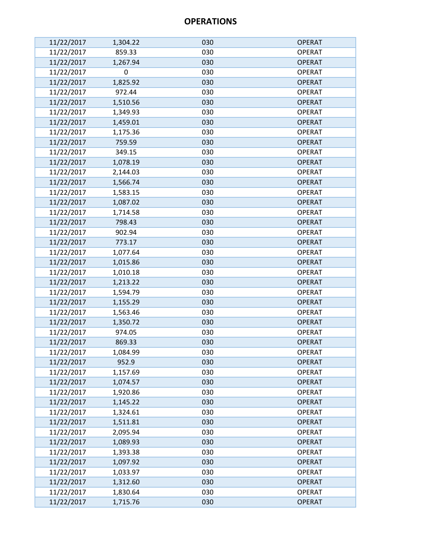| 11/22/2017               | 1,304.22             | 030        | <b>OPERAT</b>                  |
|--------------------------|----------------------|------------|--------------------------------|
| 11/22/2017               | 859.33               | 030        | <b>OPERAT</b>                  |
| 11/22/2017               | 1,267.94             | 030        | <b>OPERAT</b>                  |
| 11/22/2017               | $\mathbf 0$          | 030        | <b>OPERAT</b>                  |
| 11/22/2017               | 1,825.92             | 030        | <b>OPERAT</b>                  |
| 11/22/2017               | 972.44               | 030        | <b>OPERAT</b>                  |
| 11/22/2017               | 1,510.56             | 030        | <b>OPERAT</b>                  |
| 11/22/2017               | 1,349.93             | 030        | <b>OPERAT</b>                  |
| 11/22/2017               | 1,459.01             | 030        | <b>OPERAT</b>                  |
| 11/22/2017               | 1,175.36             | 030        | <b>OPERAT</b>                  |
| 11/22/2017               | 759.59               | 030        | <b>OPERAT</b>                  |
| 11/22/2017               | 349.15               | 030        | <b>OPERAT</b>                  |
| 11/22/2017               | 1,078.19             | 030        | <b>OPERAT</b>                  |
| 11/22/2017               | 2,144.03             | 030        | <b>OPERAT</b>                  |
| 11/22/2017               | 1,566.74             | 030        | <b>OPERAT</b>                  |
| 11/22/2017               | 1,583.15             | 030        | <b>OPERAT</b>                  |
| 11/22/2017               | 1,087.02             | 030        | <b>OPERAT</b>                  |
| 11/22/2017               | 1,714.58             | 030        | <b>OPERAT</b>                  |
| 11/22/2017               | 798.43               | 030        | <b>OPERAT</b>                  |
| 11/22/2017               | 902.94               | 030        | <b>OPERAT</b>                  |
| 11/22/2017               | 773.17               | 030        | <b>OPERAT</b>                  |
| 11/22/2017               | 1,077.64             | 030        | <b>OPERAT</b>                  |
| 11/22/2017               | 1,015.86             | 030        | <b>OPERAT</b>                  |
| 11/22/2017               | 1,010.18             | 030        | <b>OPERAT</b>                  |
| 11/22/2017               | 1,213.22             | 030        | <b>OPERAT</b>                  |
| 11/22/2017               | 1,594.79             | 030        | <b>OPERAT</b>                  |
| 11/22/2017               | 1,155.29             | 030        | <b>OPERAT</b>                  |
| 11/22/2017               | 1,563.46             | 030        | <b>OPERAT</b>                  |
| 11/22/2017               | 1,350.72             | 030        | <b>OPERAT</b>                  |
| 11/22/2017               | 974.05               | 030        | <b>OPERAT</b>                  |
| 11/22/2017               | 869.33               | 030        | <b>OPERAT</b>                  |
| 11/22/2017               | 1,084.99             | 030        | <b>OPERAT</b>                  |
| 11/22/2017               | 952.9                | 030        | <b>OPERAT</b>                  |
| 11/22/2017               | 1,157.69             | 030        | <b>OPERAT</b>                  |
| 11/22/2017               | 1,074.57             | 030        | <b>OPERAT</b>                  |
| 11/22/2017               | 1,920.86             | 030        | <b>OPERAT</b>                  |
| 11/22/2017               | 1,145.22             | 030        | <b>OPERAT</b>                  |
| 11/22/2017               | 1,324.61             | 030        | <b>OPERAT</b>                  |
| 11/22/2017               | 1,511.81             | 030        | <b>OPERAT</b>                  |
| 11/22/2017               | 2,095.94             | 030        | <b>OPERAT</b>                  |
| 11/22/2017               | 1,089.93             | 030        | <b>OPERAT</b>                  |
| 11/22/2017               | 1,393.38             | 030<br>030 | <b>OPERAT</b>                  |
| 11/22/2017               | 1,097.92             |            | <b>OPERAT</b>                  |
| 11/22/2017               | 1,033.97             | 030<br>030 | <b>OPERAT</b>                  |
| 11/22/2017<br>11/22/2017 | 1,312.60<br>1,830.64 | 030        | <b>OPERAT</b><br><b>OPERAT</b> |
| 11/22/2017               | 1,715.76             | 030        | <b>OPERAT</b>                  |
|                          |                      |            |                                |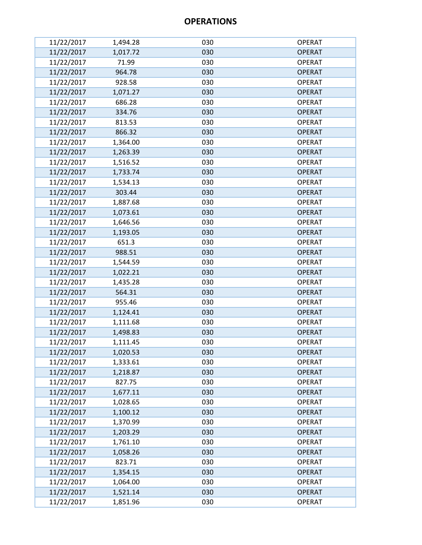| 11/22/2017 | 1,494.28 | 030 | <b>OPERAT</b> |
|------------|----------|-----|---------------|
| 11/22/2017 | 1,017.72 | 030 | <b>OPERAT</b> |
| 11/22/2017 | 71.99    | 030 | <b>OPERAT</b> |
| 11/22/2017 | 964.78   | 030 | <b>OPERAT</b> |
| 11/22/2017 | 928.58   | 030 | <b>OPERAT</b> |
| 11/22/2017 | 1,071.27 | 030 | <b>OPERAT</b> |
| 11/22/2017 | 686.28   | 030 | <b>OPERAT</b> |
| 11/22/2017 | 334.76   | 030 | <b>OPERAT</b> |
| 11/22/2017 | 813.53   | 030 | <b>OPERAT</b> |
| 11/22/2017 | 866.32   | 030 | <b>OPERAT</b> |
| 11/22/2017 | 1,364.00 | 030 | <b>OPERAT</b> |
| 11/22/2017 | 1,263.39 | 030 | <b>OPERAT</b> |
| 11/22/2017 | 1,516.52 | 030 | <b>OPERAT</b> |
| 11/22/2017 | 1,733.74 | 030 | <b>OPERAT</b> |
| 11/22/2017 | 1,534.13 | 030 | <b>OPERAT</b> |
| 11/22/2017 | 303.44   | 030 | <b>OPERAT</b> |
| 11/22/2017 | 1,887.68 | 030 | <b>OPERAT</b> |
| 11/22/2017 | 1,073.61 | 030 | <b>OPERAT</b> |
| 11/22/2017 | 1,646.56 | 030 | <b>OPERAT</b> |
| 11/22/2017 | 1,193.05 | 030 | <b>OPERAT</b> |
| 11/22/2017 | 651.3    | 030 | <b>OPERAT</b> |
| 11/22/2017 | 988.51   | 030 | <b>OPERAT</b> |
| 11/22/2017 | 1,544.59 | 030 | <b>OPERAT</b> |
| 11/22/2017 | 1,022.21 | 030 | <b>OPERAT</b> |
| 11/22/2017 | 1,435.28 | 030 | <b>OPERAT</b> |
| 11/22/2017 | 564.31   | 030 | <b>OPERAT</b> |
| 11/22/2017 | 955.46   | 030 | <b>OPERAT</b> |
| 11/22/2017 | 1,124.41 | 030 | <b>OPERAT</b> |
| 11/22/2017 | 1,111.68 | 030 | <b>OPERAT</b> |
| 11/22/2017 | 1,498.83 | 030 | <b>OPERAT</b> |
| 11/22/2017 | 1,111.45 | 030 | <b>OPERAT</b> |
| 11/22/2017 | 1,020.53 | 030 | <b>OPERAT</b> |
| 11/22/2017 | 1,333.61 | 030 | <b>OPERAT</b> |
| 11/22/2017 | 1,218.87 | 030 | <b>OPERAT</b> |
| 11/22/2017 | 827.75   | 030 | <b>OPERAT</b> |
| 11/22/2017 | 1,677.11 | 030 | <b>OPERAT</b> |
| 11/22/2017 | 1,028.65 | 030 | <b>OPERAT</b> |
| 11/22/2017 | 1,100.12 | 030 | <b>OPERAT</b> |
| 11/22/2017 | 1,370.99 | 030 | <b>OPERAT</b> |
| 11/22/2017 | 1,203.29 | 030 | <b>OPERAT</b> |
| 11/22/2017 | 1,761.10 | 030 | <b>OPERAT</b> |
| 11/22/2017 | 1,058.26 | 030 | <b>OPERAT</b> |
| 11/22/2017 | 823.71   | 030 | <b>OPERAT</b> |
| 11/22/2017 | 1,354.15 | 030 | <b>OPERAT</b> |
| 11/22/2017 | 1,064.00 | 030 | <b>OPERAT</b> |
| 11/22/2017 | 1,521.14 | 030 | <b>OPERAT</b> |
| 11/22/2017 | 1,851.96 | 030 | <b>OPERAT</b> |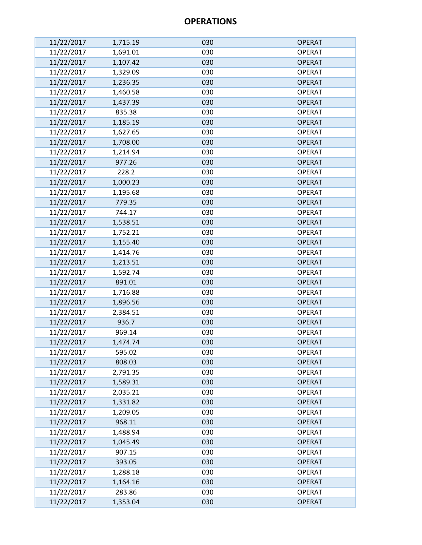| 11/22/2017 | 1,715.19 | 030 | <b>OPERAT</b> |
|------------|----------|-----|---------------|
| 11/22/2017 | 1,691.01 | 030 | <b>OPERAT</b> |
| 11/22/2017 | 1,107.42 | 030 | <b>OPERAT</b> |
| 11/22/2017 | 1,329.09 | 030 | <b>OPERAT</b> |
| 11/22/2017 | 1,236.35 | 030 | <b>OPERAT</b> |
| 11/22/2017 | 1,460.58 | 030 | <b>OPERAT</b> |
| 11/22/2017 | 1,437.39 | 030 | <b>OPERAT</b> |
| 11/22/2017 | 835.38   | 030 | <b>OPERAT</b> |
| 11/22/2017 | 1,185.19 | 030 | <b>OPERAT</b> |
| 11/22/2017 | 1,627.65 | 030 | <b>OPERAT</b> |
| 11/22/2017 | 1,708.00 | 030 | <b>OPERAT</b> |
| 11/22/2017 | 1,214.94 | 030 | <b>OPERAT</b> |
| 11/22/2017 | 977.26   | 030 | <b>OPERAT</b> |
| 11/22/2017 | 228.2    | 030 | <b>OPERAT</b> |
| 11/22/2017 | 1,000.23 | 030 | <b>OPERAT</b> |
| 11/22/2017 | 1,195.68 | 030 | <b>OPERAT</b> |
| 11/22/2017 | 779.35   | 030 | <b>OPERAT</b> |
| 11/22/2017 | 744.17   | 030 | <b>OPERAT</b> |
| 11/22/2017 | 1,538.51 | 030 | <b>OPERAT</b> |
| 11/22/2017 | 1,752.21 | 030 | <b>OPERAT</b> |
| 11/22/2017 | 1,155.40 | 030 | <b>OPERAT</b> |
| 11/22/2017 | 1,414.76 | 030 | <b>OPERAT</b> |
| 11/22/2017 | 1,213.51 | 030 | <b>OPERAT</b> |
| 11/22/2017 | 1,592.74 | 030 | <b>OPERAT</b> |
| 11/22/2017 | 891.01   | 030 | <b>OPERAT</b> |
| 11/22/2017 | 1,716.88 | 030 | <b>OPERAT</b> |
| 11/22/2017 | 1,896.56 | 030 | <b>OPERAT</b> |
| 11/22/2017 | 2,384.51 | 030 | <b>OPERAT</b> |
| 11/22/2017 | 936.7    | 030 | <b>OPERAT</b> |
| 11/22/2017 | 969.14   | 030 | <b>OPERAT</b> |
| 11/22/2017 | 1,474.74 | 030 | <b>OPERAT</b> |
| 11/22/2017 | 595.02   | 030 | <b>OPERAT</b> |
| 11/22/2017 | 808.03   | 030 | <b>OPERAT</b> |
| 11/22/2017 | 2,791.35 | 030 | <b>OPERAT</b> |
| 11/22/2017 | 1,589.31 | 030 | <b>OPERAT</b> |
| 11/22/2017 | 2,035.21 | 030 | <b>OPERAT</b> |
| 11/22/2017 | 1,331.82 | 030 | <b>OPERAT</b> |
| 11/22/2017 | 1,209.05 | 030 | <b>OPERAT</b> |
| 11/22/2017 | 968.11   | 030 | <b>OPERAT</b> |
| 11/22/2017 | 1,488.94 | 030 | <b>OPERAT</b> |
| 11/22/2017 | 1,045.49 | 030 | <b>OPERAT</b> |
| 11/22/2017 | 907.15   | 030 | <b>OPERAT</b> |
| 11/22/2017 | 393.05   | 030 | <b>OPERAT</b> |
| 11/22/2017 | 1,288.18 | 030 | <b>OPERAT</b> |
| 11/22/2017 | 1,164.16 | 030 | <b>OPERAT</b> |
| 11/22/2017 | 283.86   | 030 | <b>OPERAT</b> |
| 11/22/2017 | 1,353.04 | 030 | <b>OPERAT</b> |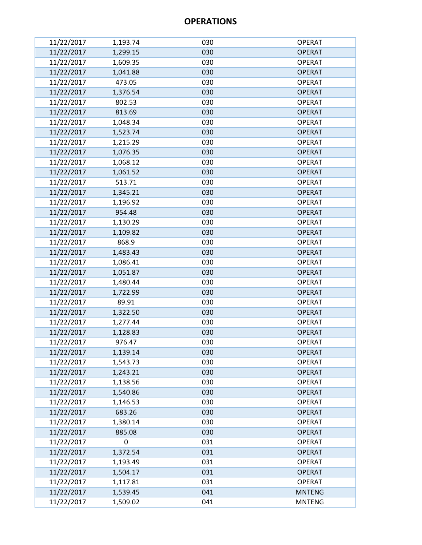| 11/22/2017 | 1,193.74 | 030 | <b>OPERAT</b> |
|------------|----------|-----|---------------|
| 11/22/2017 | 1,299.15 | 030 | <b>OPERAT</b> |
| 11/22/2017 | 1,609.35 | 030 | <b>OPERAT</b> |
| 11/22/2017 | 1,041.88 | 030 | <b>OPERAT</b> |
| 11/22/2017 | 473.05   | 030 | <b>OPERAT</b> |
| 11/22/2017 | 1,376.54 | 030 | <b>OPERAT</b> |
| 11/22/2017 | 802.53   | 030 | <b>OPERAT</b> |
| 11/22/2017 | 813.69   | 030 | <b>OPERAT</b> |
| 11/22/2017 | 1,048.34 | 030 | <b>OPERAT</b> |
| 11/22/2017 | 1,523.74 | 030 | <b>OPERAT</b> |
| 11/22/2017 | 1,215.29 | 030 | <b>OPERAT</b> |
| 11/22/2017 | 1,076.35 | 030 | <b>OPERAT</b> |
| 11/22/2017 | 1,068.12 | 030 | <b>OPERAT</b> |
| 11/22/2017 | 1,061.52 | 030 | <b>OPERAT</b> |
| 11/22/2017 | 513.71   | 030 | <b>OPERAT</b> |
| 11/22/2017 | 1,345.21 | 030 | <b>OPERAT</b> |
| 11/22/2017 | 1,196.92 | 030 | <b>OPERAT</b> |
| 11/22/2017 | 954.48   | 030 | <b>OPERAT</b> |
| 11/22/2017 | 1,130.29 | 030 | <b>OPERAT</b> |
| 11/22/2017 | 1,109.82 | 030 | <b>OPERAT</b> |
| 11/22/2017 | 868.9    | 030 | <b>OPERAT</b> |
| 11/22/2017 | 1,483.43 | 030 | <b>OPERAT</b> |
| 11/22/2017 | 1,086.41 | 030 | <b>OPERAT</b> |
| 11/22/2017 | 1,051.87 | 030 | <b>OPERAT</b> |
| 11/22/2017 | 1,480.44 | 030 | <b>OPERAT</b> |
| 11/22/2017 | 1,722.99 | 030 | <b>OPERAT</b> |
| 11/22/2017 | 89.91    | 030 | <b>OPERAT</b> |
| 11/22/2017 | 1,322.50 | 030 | <b>OPERAT</b> |
| 11/22/2017 | 1,277.44 | 030 | <b>OPERAT</b> |
| 11/22/2017 | 1,128.83 | 030 | <b>OPERAT</b> |
| 11/22/2017 | 976.47   | 030 | <b>OPERAT</b> |
| 11/22/2017 | 1,139.14 | 030 | <b>OPERAT</b> |
| 11/22/2017 | 1,543.73 | 030 | <b>OPERAT</b> |
| 11/22/2017 | 1,243.21 | 030 | <b>OPERAT</b> |
| 11/22/2017 | 1,138.56 | 030 | <b>OPERAT</b> |
| 11/22/2017 | 1,540.86 | 030 | <b>OPERAT</b> |
| 11/22/2017 | 1,146.53 | 030 | <b>OPERAT</b> |
| 11/22/2017 | 683.26   | 030 | <b>OPERAT</b> |
| 11/22/2017 | 1,380.14 | 030 | <b>OPERAT</b> |
| 11/22/2017 | 885.08   | 030 | <b>OPERAT</b> |
| 11/22/2017 | 0        | 031 | <b>OPERAT</b> |
| 11/22/2017 | 1,372.54 | 031 | <b>OPERAT</b> |
| 11/22/2017 | 1,193.49 | 031 | <b>OPERAT</b> |
| 11/22/2017 | 1,504.17 | 031 | <b>OPERAT</b> |
| 11/22/2017 | 1,117.81 | 031 | <b>OPERAT</b> |
| 11/22/2017 | 1,539.45 | 041 | <b>MNTENG</b> |
| 11/22/2017 | 1,509.02 | 041 | <b>MNTENG</b> |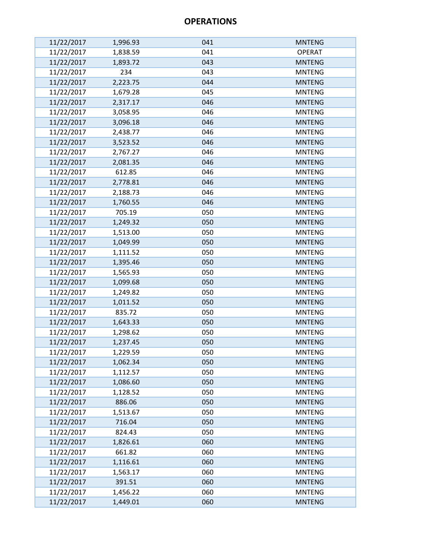| 11/22/2017 | 1,996.93 | 041 | <b>MNTENG</b> |
|------------|----------|-----|---------------|
| 11/22/2017 | 1,838.59 | 041 | <b>OPERAT</b> |
| 11/22/2017 | 1,893.72 | 043 | <b>MNTENG</b> |
| 11/22/2017 | 234      | 043 | <b>MNTENG</b> |
| 11/22/2017 | 2,223.75 | 044 | <b>MNTENG</b> |
| 11/22/2017 | 1,679.28 | 045 | <b>MNTENG</b> |
| 11/22/2017 | 2,317.17 | 046 | <b>MNTENG</b> |
| 11/22/2017 | 3,058.95 | 046 | <b>MNTENG</b> |
| 11/22/2017 | 3,096.18 | 046 | <b>MNTENG</b> |
| 11/22/2017 | 2,438.77 | 046 | <b>MNTENG</b> |
| 11/22/2017 | 3,523.52 | 046 | <b>MNTENG</b> |
| 11/22/2017 | 2,767.27 | 046 | <b>MNTENG</b> |
| 11/22/2017 | 2,081.35 | 046 | <b>MNTENG</b> |
| 11/22/2017 | 612.85   | 046 | <b>MNTENG</b> |
| 11/22/2017 | 2,778.81 | 046 | <b>MNTENG</b> |
| 11/22/2017 | 2,188.73 | 046 | <b>MNTENG</b> |
| 11/22/2017 | 1,760.55 | 046 | <b>MNTENG</b> |
| 11/22/2017 | 705.19   | 050 | <b>MNTENG</b> |
| 11/22/2017 | 1,249.32 | 050 | <b>MNTENG</b> |
| 11/22/2017 | 1,513.00 | 050 | <b>MNTENG</b> |
| 11/22/2017 | 1,049.99 | 050 | <b>MNTENG</b> |
| 11/22/2017 | 1,111.52 | 050 | <b>MNTENG</b> |
| 11/22/2017 | 1,395.46 | 050 | <b>MNTENG</b> |
| 11/22/2017 | 1,565.93 | 050 | <b>MNTENG</b> |
| 11/22/2017 | 1,099.68 | 050 | <b>MNTENG</b> |
| 11/22/2017 | 1,249.82 | 050 | <b>MNTENG</b> |
| 11/22/2017 | 1,011.52 | 050 | <b>MNTENG</b> |
| 11/22/2017 | 835.72   | 050 | <b>MNTENG</b> |
| 11/22/2017 | 1,643.33 | 050 | <b>MNTENG</b> |
| 11/22/2017 | 1,298.62 | 050 | <b>MNTENG</b> |
| 11/22/2017 | 1,237.45 | 050 | <b>MNTENG</b> |
| 11/22/2017 | 1,229.59 | 050 | <b>MNTENG</b> |
| 11/22/2017 | 1,062.34 | 050 | <b>MNTENG</b> |
| 11/22/2017 | 1,112.57 | 050 | <b>MNTENG</b> |
| 11/22/2017 | 1,086.60 | 050 | <b>MNTENG</b> |
| 11/22/2017 | 1,128.52 | 050 | <b>MNTENG</b> |
| 11/22/2017 | 886.06   | 050 | <b>MNTENG</b> |
| 11/22/2017 | 1,513.67 | 050 | <b>MNTENG</b> |
| 11/22/2017 | 716.04   | 050 | <b>MNTENG</b> |
| 11/22/2017 | 824.43   | 050 | <b>MNTENG</b> |
| 11/22/2017 | 1,826.61 | 060 | <b>MNTENG</b> |
| 11/22/2017 | 661.82   | 060 | <b>MNTENG</b> |
| 11/22/2017 | 1,116.61 | 060 | <b>MNTENG</b> |
| 11/22/2017 | 1,563.17 | 060 | <b>MNTENG</b> |
| 11/22/2017 | 391.51   | 060 | <b>MNTENG</b> |
| 11/22/2017 | 1,456.22 | 060 | <b>MNTENG</b> |
| 11/22/2017 | 1,449.01 | 060 | <b>MNTENG</b> |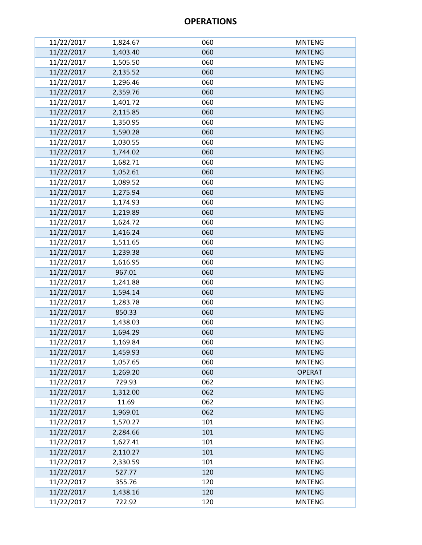| 11/22/2017 | 1,824.67 | 060 | <b>MNTENG</b> |
|------------|----------|-----|---------------|
| 11/22/2017 | 1,403.40 | 060 | <b>MNTENG</b> |
| 11/22/2017 | 1,505.50 | 060 | <b>MNTENG</b> |
| 11/22/2017 | 2,135.52 | 060 | <b>MNTENG</b> |
| 11/22/2017 | 1,296.46 | 060 | <b>MNTENG</b> |
| 11/22/2017 | 2,359.76 | 060 | <b>MNTENG</b> |
| 11/22/2017 | 1,401.72 | 060 | <b>MNTENG</b> |
| 11/22/2017 | 2,115.85 | 060 | <b>MNTENG</b> |
| 11/22/2017 | 1,350.95 | 060 | <b>MNTENG</b> |
| 11/22/2017 | 1,590.28 | 060 | <b>MNTENG</b> |
| 11/22/2017 | 1,030.55 | 060 | <b>MNTENG</b> |
| 11/22/2017 | 1,744.02 | 060 | <b>MNTENG</b> |
| 11/22/2017 | 1,682.71 | 060 | <b>MNTENG</b> |
| 11/22/2017 | 1,052.61 | 060 | <b>MNTENG</b> |
| 11/22/2017 | 1,089.52 | 060 | <b>MNTENG</b> |
| 11/22/2017 | 1,275.94 | 060 | <b>MNTENG</b> |
| 11/22/2017 | 1,174.93 | 060 | <b>MNTENG</b> |
| 11/22/2017 | 1,219.89 | 060 | <b>MNTENG</b> |
| 11/22/2017 | 1,624.72 | 060 | <b>MNTENG</b> |
| 11/22/2017 | 1,416.24 | 060 | <b>MNTENG</b> |
| 11/22/2017 | 1,511.65 | 060 | <b>MNTENG</b> |
| 11/22/2017 | 1,239.38 | 060 | <b>MNTENG</b> |
| 11/22/2017 | 1,616.95 | 060 | <b>MNTENG</b> |
| 11/22/2017 | 967.01   | 060 | <b>MNTENG</b> |
| 11/22/2017 | 1,241.88 | 060 | <b>MNTENG</b> |
| 11/22/2017 | 1,594.14 | 060 | <b>MNTENG</b> |
| 11/22/2017 | 1,283.78 | 060 | <b>MNTENG</b> |
| 11/22/2017 | 850.33   | 060 | <b>MNTENG</b> |
| 11/22/2017 | 1,438.03 | 060 | <b>MNTENG</b> |
| 11/22/2017 | 1,694.29 | 060 | <b>MNTENG</b> |
| 11/22/2017 | 1,169.84 | 060 | <b>MNTENG</b> |
| 11/22/2017 | 1,459.93 | 060 | <b>MNTENG</b> |
| 11/22/2017 | 1,057.65 | 060 | <b>MNTENG</b> |
| 11/22/2017 | 1,269.20 | 060 | <b>OPERAT</b> |
| 11/22/2017 | 729.93   | 062 | <b>MNTENG</b> |
| 11/22/2017 | 1,312.00 | 062 | <b>MNTENG</b> |
| 11/22/2017 | 11.69    | 062 | <b>MNTENG</b> |
| 11/22/2017 | 1,969.01 | 062 | <b>MNTENG</b> |
| 11/22/2017 | 1,570.27 | 101 | <b>MNTENG</b> |
| 11/22/2017 | 2,284.66 | 101 | <b>MNTENG</b> |
| 11/22/2017 | 1,627.41 | 101 | <b>MNTENG</b> |
| 11/22/2017 | 2,110.27 | 101 | <b>MNTENG</b> |
| 11/22/2017 | 2,330.59 | 101 | <b>MNTENG</b> |
| 11/22/2017 | 527.77   | 120 | <b>MNTENG</b> |
| 11/22/2017 | 355.76   | 120 | <b>MNTENG</b> |
| 11/22/2017 | 1,438.16 | 120 | <b>MNTENG</b> |
| 11/22/2017 | 722.92   | 120 | <b>MNTENG</b> |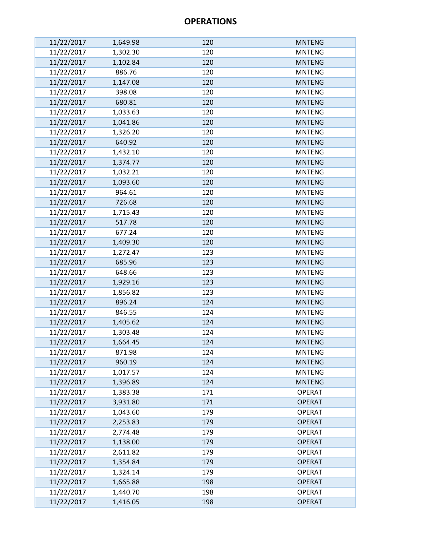| 11/22/2017 | 1,649.98 | 120 | <b>MNTENG</b> |
|------------|----------|-----|---------------|
| 11/22/2017 | 1,302.30 | 120 | <b>MNTENG</b> |
| 11/22/2017 | 1,102.84 | 120 | <b>MNTENG</b> |
| 11/22/2017 | 886.76   | 120 | <b>MNTENG</b> |
| 11/22/2017 | 1,147.08 | 120 | <b>MNTENG</b> |
| 11/22/2017 | 398.08   | 120 | <b>MNTENG</b> |
| 11/22/2017 | 680.81   | 120 | <b>MNTENG</b> |
| 11/22/2017 | 1,033.63 | 120 | <b>MNTENG</b> |
| 11/22/2017 | 1,041.86 | 120 | <b>MNTENG</b> |
| 11/22/2017 | 1,326.20 | 120 | <b>MNTENG</b> |
| 11/22/2017 | 640.92   | 120 | <b>MNTENG</b> |
| 11/22/2017 | 1,432.10 | 120 | <b>MNTENG</b> |
| 11/22/2017 | 1,374.77 | 120 | <b>MNTENG</b> |
| 11/22/2017 | 1,032.21 | 120 | <b>MNTENG</b> |
| 11/22/2017 | 1,093.60 | 120 | <b>MNTENG</b> |
| 11/22/2017 | 964.61   | 120 | <b>MNTENG</b> |
| 11/22/2017 | 726.68   | 120 | <b>MNTENG</b> |
| 11/22/2017 | 1,715.43 | 120 | <b>MNTENG</b> |
| 11/22/2017 | 517.78   | 120 | <b>MNTENG</b> |
| 11/22/2017 | 677.24   | 120 | <b>MNTENG</b> |
| 11/22/2017 | 1,409.30 | 120 | <b>MNTENG</b> |
| 11/22/2017 | 1,272.47 | 123 | <b>MNTENG</b> |
| 11/22/2017 | 685.96   | 123 | <b>MNTENG</b> |
| 11/22/2017 | 648.66   | 123 | <b>MNTENG</b> |
| 11/22/2017 | 1,929.16 | 123 | <b>MNTENG</b> |
| 11/22/2017 | 1,856.82 | 123 | <b>MNTENG</b> |
| 11/22/2017 | 896.24   | 124 | <b>MNTENG</b> |
| 11/22/2017 | 846.55   | 124 | <b>MNTENG</b> |
| 11/22/2017 | 1,405.62 | 124 | <b>MNTENG</b> |
| 11/22/2017 | 1,303.48 | 124 | <b>MNTENG</b> |
| 11/22/2017 | 1,664.45 | 124 | <b>MNTENG</b> |
| 11/22/2017 | 871.98   | 124 | <b>MNTENG</b> |
| 11/22/2017 | 960.19   | 124 | <b>MNTENG</b> |
| 11/22/2017 | 1,017.57 | 124 | <b>MNTENG</b> |
| 11/22/2017 | 1,396.89 | 124 | <b>MNTENG</b> |
| 11/22/2017 | 1,383.38 | 171 | <b>OPERAT</b> |
| 11/22/2017 | 3,931.80 | 171 | <b>OPERAT</b> |
| 11/22/2017 | 1,043.60 | 179 | <b>OPERAT</b> |
| 11/22/2017 | 2,253.83 | 179 | <b>OPERAT</b> |
| 11/22/2017 | 2,774.48 | 179 | <b>OPERAT</b> |
| 11/22/2017 | 1,138.00 | 179 | <b>OPERAT</b> |
| 11/22/2017 | 2,611.82 | 179 | <b>OPERAT</b> |
| 11/22/2017 | 1,354.84 | 179 | <b>OPERAT</b> |
| 11/22/2017 | 1,324.14 | 179 | <b>OPERAT</b> |
| 11/22/2017 | 1,665.88 | 198 | <b>OPERAT</b> |
| 11/22/2017 | 1,440.70 | 198 | <b>OPERAT</b> |
| 11/22/2017 | 1,416.05 | 198 | <b>OPERAT</b> |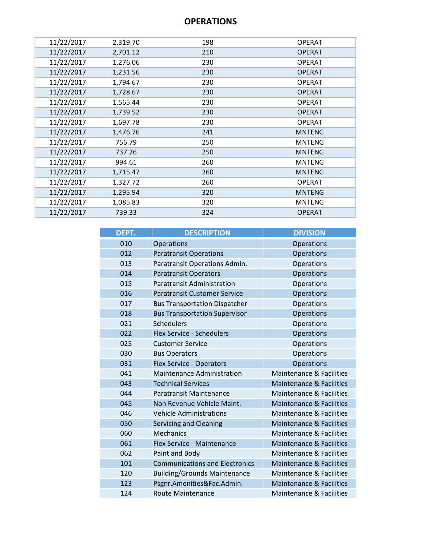| 11/22/2017 | 2,319.70 | 198 | <b>OPERAT</b> |
|------------|----------|-----|---------------|
| 11/22/2017 | 2,701.12 | 210 | <b>OPERAT</b> |
| 11/22/2017 | 1,276.06 | 230 | <b>OPERAT</b> |
| 11/22/2017 | 1,231.56 | 230 | <b>OPERAT</b> |
| 11/22/2017 | 1,794.67 | 230 | <b>OPERAT</b> |
| 11/22/2017 | 1,728.67 | 230 | <b>OPERAT</b> |
| 11/22/2017 | 1,565.44 | 230 | <b>OPERAT</b> |
| 11/22/2017 | 1,739.52 | 230 | <b>OPERAT</b> |
| 11/22/2017 | 1,697.78 | 230 | <b>OPERAT</b> |
| 11/22/2017 | 1,476.76 | 241 | <b>MNTENG</b> |
| 11/22/2017 | 756.79   | 250 | <b>MNTENG</b> |
| 11/22/2017 | 737.26   | 250 | <b>MNTENG</b> |
| 11/22/2017 | 994.61   | 260 | <b>MNTENG</b> |
| 11/22/2017 | 1,715.47 | 260 | <b>MNTENG</b> |
| 11/22/2017 | 1,327.72 | 260 | <b>OPERAT</b> |
| 11/22/2017 | 1,295.94 | 320 | <b>MNTENG</b> |
| 11/22/2017 | 1,085.83 | 320 | <b>MNTENG</b> |
| 11/22/2017 | 739.33   | 324 | <b>OPERAT</b> |
|            |          |     |               |

| DEPT. | <b>DESCRIPTION</b>                    | <b>DIVISION</b>                     |
|-------|---------------------------------------|-------------------------------------|
| 010   | <b>Operations</b>                     | Operations                          |
| 012   | <b>Paratransit Operations</b>         | <b>Operations</b>                   |
| 013   | Paratransit Operations Admin.         | Operations                          |
| 014   | <b>Paratransit Operators</b>          | <b>Operations</b>                   |
| 015   | <b>Paratransit Administration</b>     | Operations                          |
| 016   | <b>Paratransit Customer Service</b>   | Operations                          |
| 017   | <b>Bus Transportation Dispatcher</b>  | Operations                          |
| 018   | <b>Bus Transportation Supervisor</b>  | Operations                          |
| 021   | <b>Schedulers</b>                     | Operations                          |
| 022   | Flex Service - Schedulers             | <b>Operations</b>                   |
| 025   | <b>Customer Service</b>               | Operations                          |
| 030   | <b>Bus Operators</b>                  | Operations                          |
| 031   | Flex Service - Operators              | Operations                          |
| 041   | <b>Maintenance Administration</b>     | <b>Maintenance &amp; Facilities</b> |
| 043   | <b>Technical Services</b>             | Maintenance & Facilities            |
| 044   | <b>Paratransit Maintenance</b>        | <b>Maintenance &amp; Facilities</b> |
| 045   | Non Revenue Vehicle Maint.            | <b>Maintenance &amp; Facilities</b> |
| 046   | <b>Vehicle Administrations</b>        | <b>Maintenance &amp; Facilities</b> |
| 050   | <b>Servicing and Cleaning</b>         | <b>Maintenance &amp; Facilities</b> |
| 060   | <b>Mechanics</b>                      | <b>Maintenance &amp; Facilities</b> |
| 061   | Flex Service - Maintenance            | <b>Maintenance &amp; Facilities</b> |
| 062   | Paint and Body                        | <b>Maintenance &amp; Facilities</b> |
| 101   | <b>Communications and Electronics</b> | Maintenance & Facilities            |
| 120   | <b>Building/Grounds Maintenance</b>   | Maintenance & Facilities            |
| 123   | Psgnr.Amenities&Fac.Admin.            | <b>Maintenance &amp; Facilities</b> |
| 124   | <b>Route Maintenance</b>              | <b>Maintenance &amp; Facilities</b> |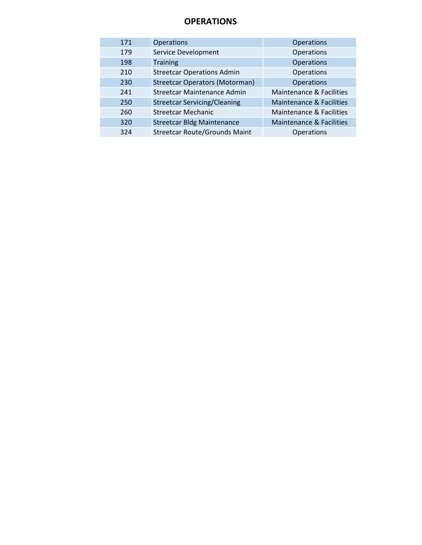| 171 | <b>Operations</b>                     | <b>Operations</b>                   |
|-----|---------------------------------------|-------------------------------------|
| 179 | Service Development                   | Operations                          |
| 198 | <b>Training</b>                       | <b>Operations</b>                   |
| 210 | <b>Streetcar Operations Admin</b>     | Operations                          |
| 230 | <b>Streetcar Operators (Motorman)</b> | <b>Operations</b>                   |
| 241 | Streetcar Maintenance Admin           | <b>Maintenance &amp; Facilities</b> |
| 250 | <b>Streetcar Servicing/Cleaning</b>   | <b>Maintenance &amp; Facilities</b> |
| 260 | <b>Streetcar Mechanic</b>             | <b>Maintenance &amp; Facilities</b> |
| 320 | <b>Streetcar Bldg Maintenance</b>     | <b>Maintenance &amp; Facilities</b> |
| 324 | <b>Streetcar Route/Grounds Maint</b>  | <b>Operations</b>                   |
|     |                                       |                                     |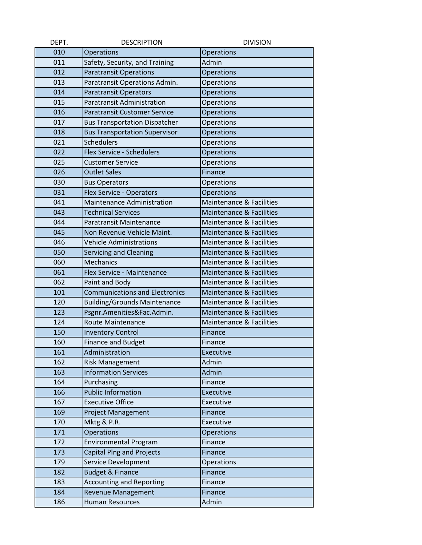| DEPT. | <b>DESCRIPTION</b>                    | <b>DIVISION</b>                     |
|-------|---------------------------------------|-------------------------------------|
| 010   | <b>Operations</b>                     | Operations                          |
| 011   | Safety, Security, and Training        | Admin                               |
| 012   | <b>Paratransit Operations</b>         | <b>Operations</b>                   |
| 013   | Paratransit Operations Admin.         | <b>Operations</b>                   |
| 014   | <b>Paratransit Operators</b>          | <b>Operations</b>                   |
| 015   | <b>Paratransit Administration</b>     | Operations                          |
| 016   | <b>Paratransit Customer Service</b>   | <b>Operations</b>                   |
| 017   | <b>Bus Transportation Dispatcher</b>  | Operations                          |
| 018   | <b>Bus Transportation Supervisor</b>  | Operations                          |
| 021   | <b>Schedulers</b>                     | <b>Operations</b>                   |
| 022   | Flex Service - Schedulers             | Operations                          |
| 025   | <b>Customer Service</b>               | Operations                          |
| 026   | <b>Outlet Sales</b>                   | Finance                             |
| 030   | <b>Bus Operators</b>                  | Operations                          |
| 031   | Flex Service - Operators              | <b>Operations</b>                   |
| 041   | Maintenance Administration            | <b>Maintenance &amp; Facilities</b> |
| 043   | <b>Technical Services</b>             | <b>Maintenance &amp; Facilities</b> |
| 044   | <b>Paratransit Maintenance</b>        | <b>Maintenance &amp; Facilities</b> |
| 045   | Non Revenue Vehicle Maint.            | <b>Maintenance &amp; Facilities</b> |
| 046   | <b>Vehicle Administrations</b>        | <b>Maintenance &amp; Facilities</b> |
| 050   | Servicing and Cleaning                | <b>Maintenance &amp; Facilities</b> |
| 060   | Mechanics                             | <b>Maintenance &amp; Facilities</b> |
| 061   | Flex Service - Maintenance            | <b>Maintenance &amp; Facilities</b> |
| 062   | Paint and Body                        | <b>Maintenance &amp; Facilities</b> |
| 101   | <b>Communications and Electronics</b> | <b>Maintenance &amp; Facilities</b> |
| 120   | <b>Building/Grounds Maintenance</b>   | <b>Maintenance &amp; Facilities</b> |
| 123   | Psgnr.Amenities&Fac.Admin.            | <b>Maintenance &amp; Facilities</b> |
| 124   | <b>Route Maintenance</b>              | <b>Maintenance &amp; Facilities</b> |
| 150   | <b>Inventory Control</b>              | Finance                             |
| 160   | <b>Finance and Budget</b>             | Finance                             |
| 161   | Administration                        | Executive                           |
| 162   | <b>Risk Management</b>                | Admin                               |
| 163   | <b>Information Services</b>           | Admin                               |
| 164   | Purchasing                            | Finance                             |
| 166   | <b>Public Information</b>             | Executive                           |
| 167   | <b>Executive Office</b>               | Executive                           |
| 169   | <b>Project Management</b>             | Finance                             |
| 170   | Mktg & P.R.                           | Executive                           |
| 171   | Operations                            | <b>Operations</b>                   |
| 172   | <b>Environmental Program</b>          | Finance                             |
| 173   | <b>Capital Plng and Projects</b>      | Finance                             |
| 179   | Service Development                   | Operations                          |
| 182   | <b>Budget &amp; Finance</b>           | Finance                             |
| 183   | <b>Accounting and Reporting</b>       | Finance                             |
| 184   | <b>Revenue Management</b>             | Finance                             |
| 186   | Human Resources                       | Admin                               |